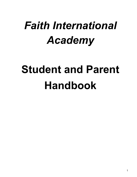# *Faith International Academy*

# **Student and Parent Handbook**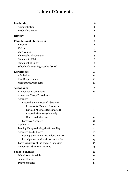# **Table of Contents**

| Leadership                               | 6  |
|------------------------------------------|----|
| Administration                           | 6  |
| Leadership Team                          | 6  |
| <b>History</b>                           | 6  |
| <b>Foundational Statements</b>           | 6  |
| Purpose                                  | 6  |
| Vision                                   | 7  |
| <b>Core Values</b>                       | 7  |
| Philosophy of Education                  | 8  |
| <b>Statement of Faith</b>                | 8  |
| <b>Statement of Unity</b>                | 9  |
| Schoolwide Learning Results (SLRs)       | 9  |
| <b>Enrollment</b>                        | 10 |
| Admissions                               | 10 |
| Visa Requirements                        | 10 |
| <b>Withdrawal Procedures</b>             | 10 |
| <b>Attendance</b>                        | 10 |
| <b>Attendance Expectations</b>           | 10 |
| <b>Absence or Tardy Procedures</b>       | 11 |
| Absences                                 | 11 |
| <b>Excused and Unexcused Absences</b>    | 11 |
| <b>Reasons for Excused Absences</b>      | 11 |
| <b>Excused Absences (Unexpected)</b>     | 11 |
| <b>Excused Absences (Planned)</b>        | 11 |
| <b>Unexcused Absences</b>                | 12 |
| <b>Excessive Absences</b>                | 12 |
| Tardiness                                | 12 |
| Leaving Campus during the School Day     | 12 |
| Absences due to Illness                  | 13 |
| Participation in Physical Education (PE) | 13 |
| Participation in After School Activities | 13 |
| Early Departure at the end of a Semester | 13 |
| <b>Temporary Absence of Parents</b>      | 13 |
| <b>School Schedule</b>                   | 14 |
| <b>School Year Schedule</b>              | 14 |
| <b>School Hours</b>                      | 14 |
| Daily Schedules                          | 14 |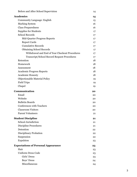| Before and After School Supervision                | 14                |
|----------------------------------------------------|-------------------|
| <b>Academics</b>                                   | 14                |
| <b>Community Language: English</b>                 | 15                |
| <b>Marking System</b>                              | 16                |
| <b>Class Preparedness</b>                          | 16                |
| <b>Supplies for Students</b>                       | 17                |
| <b>School Records</b>                              | 17                |
| Mid-Quarter Progress Reports                       | $17 \overline{ }$ |
| <b>Report Cards</b>                                | 17                |
| <b>Cumulative Records</b>                          | $17 \,$           |
| <b>Obtaining School Records</b>                    | 17                |
| Withdrawal and End of Year Checkout Procedures     | 17                |
| <b>Transcript/School Record Request Procedures</b> | 17                |
| Retention                                          | 18                |
| Homework                                           | 18                |
| Assessment                                         | 18                |
| <b>Academic Progress Reports</b>                   | 18                |
| <b>Academic Honesty</b>                            | 18                |
| Objectionable Material Policy                      | 19                |
| <b>Field Trips</b>                                 | 19                |
| Chapel                                             |                   |
|                                                    | 19                |
| Communication                                      | 20                |
| Email                                              | 20                |
| Website                                            | 20                |
| <b>Bulletin Boards</b>                             | 20                |
| <b>Conferences with Teachers</b>                   | 20                |
| <b>Classroom Visitors</b>                          | 20                |
| <b>Parent Volunteers</b>                           | 21                |
| <b>Student Discipline</b>                          | 21                |
| <b>School Jurisdiction</b>                         | 21                |
| <b>Discipline Procedures</b>                       | 21                |
| Detention                                          | 22                |
| Disciplinary Probation                             | 22                |
| Suspension                                         | 22                |
| Expulsion                                          | 23                |
| <b>Expectations of Personal Appearance</b>         | 23                |
| Hair                                               | 23                |
| <b>Uniform Dress Code</b>                          | 23                |
| Girls' Dress                                       | 23                |
| Boys' Dress                                        | 24                |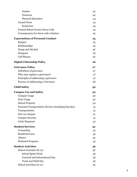| <b>Jackets</b>                                         | 24 |
|--------------------------------------------------------|----|
| Footwear                                               | 24 |
| <b>Physical Education</b>                              | 24 |
| <b>Casual Dress</b>                                    | 24 |
| Swimwear                                               | 24 |
| Formal School Events Dress Code                        | 25 |
| Consequences for dress code violation                  | 25 |
| <b>Expectations of Personal Conduct</b>                | 25 |
| Respect                                                | 25 |
| Relationships                                          | 25 |
| Drugs and Alcohol                                      | 26 |
| Weapons                                                | 26 |
| <b>Cell Phones</b>                                     | 26 |
| <b>Digital Citizenship Policy</b>                      | 26 |
| <b>Grievance Policy</b>                                | 27 |
| Definition of grievance                                | 27 |
| Who may register a grievance?                          | 27 |
| Principles of addressing a grievance                   | 27 |
| Process of Addressing a Grievance                      | 28 |
| <b>Child Safety</b>                                    | 30 |
| <b>Campus Use and Safety</b>                           | 30 |
| Campus Usage                                           | 30 |
| Gym Usage                                              | 30 |
| <b>School Property</b>                                 | 30 |
| Personal Transportation Devices (including bicycles)   | 31 |
| Transportation                                         | 31 |
| Pets on Campus                                         | 31 |
| <b>Campus Security</b>                                 | 31 |
| Crisis Response                                        | 32 |
| <b>Student Services</b>                                | 32 |
| Counseling                                             | 32 |
| <b>Health Services</b>                                 | 32 |
| Library                                                | 33 |
| Hotlunch Program                                       | 35 |
| <b>Student Activities</b>                              | 36 |
| School Activities (K-12)                               | 36 |
| <b>School Spirit Week</b>                              | 36 |
|                                                        |    |
| Carnival and International Day                         | 36 |
| <b>Track and Field Day</b><br>School Activities (6-12) | 36 |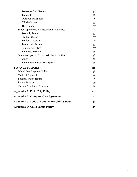| <b>Welcome Back Events</b>                          | 36 |
|-----------------------------------------------------|----|
| <b>Banquets</b>                                     | 36 |
| <b>Outdoor Education</b>                            | 36 |
| Middle School                                       | 37 |
| <b>High School</b>                                  | 37 |
| School-sponsored Extracurricular Activities         | 37 |
| Worship Team                                        | 37 |
| <b>Student Council</b>                              | 37 |
| <b>Student Councils</b>                             | 37 |
| Leadership Retreat                                  | 37 |
| <b>Athletic Activities</b>                          | 37 |
| <b>Fine Arts Activities</b>                         | 38 |
| School-supported Extracurricular Activities         | 38 |
| Clubs                                               | 38 |
| <b>Elementary Parent-run Sports</b>                 | 38 |
| <b>FINANCE POLICIES</b>                             | 38 |
| <b>School Fees Payment Policy</b>                   | 38 |
| Mode of Payment                                     | 39 |
| <b>Business Office Hours</b>                        | 39 |
| <b>Parent Accounts</b>                              | 39 |
| <b>Tuition Assistance Program</b>                   | 39 |
| <b>Appendix A: Field Trip Policy</b>                | 40 |
| <b>Appendix B: Computer Use Agreement</b>           | 41 |
| <b>Appendix C: Code of Conduct for Child Safety</b> | 43 |
| <b>Appendix D: Child Safety Policy</b>              | 47 |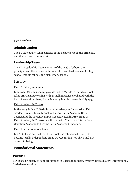# <span id="page-5-0"></span>Leadership

# <span id="page-5-1"></span>**Administration**

The FIA Executive Team consists of the head of school, the principal, and the business administrator.

# <span id="page-5-2"></span>**Leadership Team**

The FIA Leadership Team consists of the head of school, the principal, and the business administrator, and lead teachers for high school, middle school, and elementary school.

# <span id="page-5-3"></span>**History**

## Faith Academy in Manila

In March 1956, missionary parents met in Manila to found a school. After praying and working with a small mission school, and with the help of several mothers, Faith Academy Manila opened in July 1957.

#### Faith Academy in Davao

In the early 80's a United Christian Academy in Davao asked Faith Academy to facilitate a branch in Davao. Faith Academy Davao opened and the present campus was dedicated in 1987. In 2008, Faith Academy in Davao consolidated with Mindanao International Christian Academy to become Faith Academy Mindanao.

# Faith International Academy

In 2013, it was decided that the school was established enough to become legally independent. In 2014, recognition was given and FIA came into being.

# <span id="page-5-4"></span>Foundational Statements

# <span id="page-5-5"></span>**Purpose**

FIA exists primarily to support families in Christian ministry by providing a quality, international, Christian education.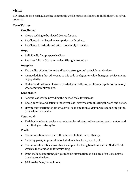# <span id="page-6-0"></span>**Vision**

FIA strives to be a caring, learning community which nurtures students to fulfill their God-given potential.

#### <span id="page-6-1"></span>**Core Values**

#### **Excellence**

- Always seeking to be all God desires for you.
- Excellence is not based on comparison with others.
- Excellence in attitude and effort, not simply in results.

#### **Hope**

- Individually find purpose in Christ.
- Put trust fully in God, then reflect His light around us.

#### **Integrity**

- The quality of being honest and having strong moral principles and values.
- Acknowledging that adherence to this code is of greater value than great achievements or popularity.
- Understand that your character is what you really are, while your reputation is merely what others think you are.

#### **Leadership**

- Servant leadership, providing the needed tools for success.
- Know, care for, and listen to those you lead, clearly communicating in word and action.
- Having appreciation for others, as well as the mission & vision, while modeling all the core values personally.

#### **Teamwork**

● Thriving together to achieve our mission by utilizing and respecting each member and their God-given strengths.

#### **Truth**

- Communication based on truth, intended to build each other up.
- Avoiding gossip in general (about students, teachers, parents, etc).
- Communicate a biblical worldview and plan for living based on truth in God's Word, which is the foundation for everything.
- Don't make assumptions, but get reliable information on all sides of an issue before drawing conclusions.
- Stick to the facts, not opinions.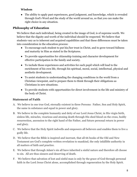#### **Wisdom**

• The ability to apply past experiences, good judgment, and knowledge, which is revealed through God's Word and the study of the world around us, so that you can make the right choice in any situation.

## <span id="page-7-0"></span>**Philosophy of Education**

We believe that each individual, being created in the image of God, is of supreme worth. We believe that the dignity and worth of the individual should be respected. We believe that students vary as to inherent and acquired capabilities and that these differences must be taken into consideration in the education process:

- To encourage each student to put his/her trust in Christ, and to grow toward fullness and maturity in Him as stated in the Scriptures.
- To provide opportunities for citizenship training and character development for effective participation in the family and society.
- To include those experiences and activities for each pupil which will lead to the enrichment of his own life, through his spiritual, moral, social, intellectual, physical and aesthetic development.
- To assist students in understanding the changing conditions in the world from a Christian viewpoint, and to prepare them to think through their obligations as Christians in new situations.
- To provide students with opportunities for direct involvement in the life and ministry of the body of Christ.

# <span id="page-7-1"></span>**Statement of Faith**

- A. We believe in one true God, eternally existent in three Persons: Father, Son and Holy Spirit, the same in substance and equal in power and glory.
- B. We believe in the complete humanity and deity of our Lord Jesus Christ, in His virgin birth, sinless life, miracles, vicarious and atoning death through His shed blood on the cross, bodily resurrection, ascension to the right hand of the Father, and future personal return in power and glory.
- C. We believe that the Holy Spirit indwells and empowers all believers and enables them to live a godly life.
- D. We believe that the Bible is inspired and inerrant, that all 66 books of the Old and New Testament are God's complete written revelation to mankind, the only infallible authority in all matters of faith and practice.
- E. We believe that through Adam's sin all have inherited a sinful nature and therefore all choose to sin. All are thus sinners and deserving of death.
- F. We believe that salvation of lost and sinful man is only by the grace of God through personal faith in the Lord Jesus Christ alone, accomplished through regeneration by the Holy Spirit.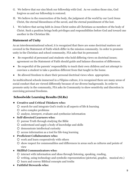- G. We believe that our sins block our fellowship with God. As we confess those sins, God forgives us and our fellowship is restored.
- H. We believe in the resurrection of the body, the judgment of the world by our Lord Jesus Christ, the eternal blessedness of the saved, and the eternal punishment of the lost.
- I. We believe that saving faith in Jesus Christ unites all Christians as members of the body of Christ. Such a position brings both privileges and responsibilities before God and toward one another in the Christian life.

## <span id="page-8-0"></span>**Statement of Unity**

As an interdenominational school, it is recognized that there are some doctrinal matters not covered in the Statement of Faith which differ in the mission community. In order to promote unity in the Christian and school community, FIA asks that its personnel:

- Be respectful of personnel and students who hold differing views on doctrinal issues; agreement on the Statement of Faith should guide and balance discussion of differences.
- Be respectful of the parents' responsibility to teach their own children and not attempt to convince a student to take a position different from that taught in the home.
- Be allowed freedom to share their personal doctrinal views when appropriate.

As multicultural schools immersed in a Filipino culture, it is recognized there are many areas of social conduct that are viewed differently because of our diverse backgrounds. In order to promote unity in the community, FIA asks its Community to show sensitivity and discretion in exercising personal freedoms.

#### <span id="page-8-1"></span>**Schoolwide Learning Results (SLRs)**

- **Creative and Critical Thinkers who:**
	- search for and integrate God's truth in all aspects of life & learning
	- solve complex problems
	- analyze, interpret, evaluate and synthesize information

#### ● **Self-directed Learners who:**

- pursue Truth through studying the Bible
- understand and apply a body of knowledge and skills
- demonstrate intellectual curiosity
- access information as a tool for life-long learning

#### ● **Proficient Collaborators who:**

- work and learn cooperatively with others
- show respect for commonalities and differences in areas such as cultures and points of view

#### ● **Skillful Communicators who:**

- interact with information and ideas through listening, speaking, reading,
- writing, using technology and symbolic representation (pictorial, graphic, musical etc.)
- learn and convey Biblical concepts and truths
- **Faithful Stewards who:**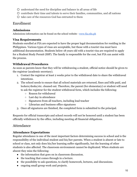- understand the need for discipline and balance in all areas of life
- contribute their time and talents to serve their families, communities, and all nations
- take care of the resources God has entrusted to them

# <span id="page-9-0"></span>Enrollment

#### <span id="page-9-1"></span>**Admissions**

Admissions information can be found on the school website - [www.fia.edu.ph](http://www.fia.edu.ph/)

#### <span id="page-9-2"></span>**Visa Requirements**

Students enrolled at FIA are expected to have the proper legal documentation for residing in the Philippines. Various types of visas are acceptable, but those with a tourist visa must have additional documentation. Students below 18 years old with a tourist visa are required to apply for a Student Study Permit (SSP). The family is responsible for the cost, but FIA can assist with the process.

#### <span id="page-9-3"></span>**Withdrawal Procedures**

As soon as parents know that they will be withdrawing a student, official notice should be given to the registrar (academic secretary).

- 1. Contact the registrar at least 2 weeks prior to the withdrawal date to share the withdrawal intentions.
- 2. The school needs to ensure that all school materials are returned, fines and bills paid, and lockers/desks/etc. cleaned out. Therefore, the parent (for elementary) or student will need to ask the registrar for the student withdrawal form, which includes the following:
	- Reason for withdrawal
	- Last day in attendance
	- Signatures from all teachers, including lead teacher
	- Librarian and business office signatures
- 3. Once all signatures are finished, the completed form is submitted to the principal.

Requests for official transcripts and school records will not be honored until a student has been officially withdrawn by the office, including meeting all financial obligations.

# <span id="page-9-4"></span>Attendance

#### <span id="page-9-5"></span>**Attendance Expectations**

Regular attendance is one of the most important factors determining success in school and is the responsibility of the individual student and his/her parents. When a student is absent or late to school or class, not only does his/her learning suffer significantly, but the learning of other students is also affected. The classroom environment cannot be duplicated. When students are absent they miss the following:

- the information that goes on in classroom discussion.
- the teaching that comes through in a lecture.
- the possibility to ask questions, to clarify homework, lectures, and discussions.
- ongoing small group work and projects.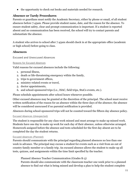● the opportunity to check out books and materials needed for research.

#### <span id="page-10-0"></span>**Absence or Tardy Procedures**

Parents or guardians must notify the Academic Secretary, either by phone or email, of all student absences before 7:45am. Please provide student name, date, and the reason for the absence. To ensure student safety, clear and prompt communication is important. If a student is reported absent and no communication has been received, the school will try to contact parents and substantiate the absence.

A student who arrives to school after 7:45am should check in at the appropriate office (academic or high school) before going to class.

#### <span id="page-10-1"></span>**Absences**

<span id="page-10-2"></span>**Excused and Unexcused Absences**

#### <span id="page-10-3"></span>Reasons for Excused Absences

Valid reasons for excused absences include the following:

- 1. personal illness,
- 2. death or life-threatening emergency within the family,
- 3. trips to government offices,
- 4. ministry-related events or travel,
- 5. doctor appointments,
- 6. and school-sponsored trips (i.e., ISAC, field trips, StuCo events, etc.).

Please schedule appointments after school hours whenever possible.

Other excused absences may be granted at the discretion of the principal. The school must receive written notification of the reason for an absence within the three days of the absence; the absence will be considered unexcused if no parental notification is provided.

Absences during school-sponsored trips will not be counted toward the fifteen day absence policy.

#### <span id="page-10-4"></span>Excused Absences (Unexpected)

The student is responsible for any class work missed and must arrange to make up missed work. Students have one day to make up work for each day of their absence, unless otherwise arranged. Homework assigned before the absence and tests scheduled for the first day absent are to be completed the day the student returns.

#### <span id="page-10-5"></span>Excused Absences (Planned)

Parents should communicate with the principal regarding planned absences no less than one week in advance. The principal may excuse a student for events such as a visit from an out of country family member or a family trip. An excused absence allows the student to make up all tests, quizzes, and assignments within the time limit specified by the teacher.

Planned Absence Teacher Communication (Grades K-5)

Parents should also communicate with the classroom teacher one week prior to a planned absence to find out what is being missed and develop a plan to help the student complete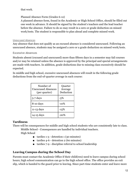#### that work.

#### Planned Absence Form (Grades 6-12)

A planned absence form, found in the Academic or High School Office, should be filled out one week in advance. It should be signed by the student's teachers and the lead teacher before the absence. Failure to do so may result in a zero or grade deduction on missed work/tests. The student is responsible to plan ahead and complete missed work.

#### <span id="page-11-0"></span>Unexcused Absences

Any absence that does not qualify as an excused absence is considered unexcused. Following an unexcused absence, students may be assigned a zero or a grade deduction on missed work/tests.

#### <span id="page-11-1"></span>**Excessive Absences**

Students absent (excused and unexcused) more than fifteen days in a semester may fail courses and/or may be retained unless the absence is approved by the principal and special arrangements are made with teachers. In addition, grade deductions due to missing class excessively should be expected.

In middle and high school, excessive unexcused absences will result in the following grade deductions from the end-of-quarter average in each course:

| Number of<br><b>Unexcused Absences</b><br>(per quarter) | Quarter<br>Average<br>Deduction |
|---------------------------------------------------------|---------------------------------|
| $5-7$ days                                              | -5%                             |
| 8-10 days                                               | $-10\%$                         |
| 11-13 days                                              | $-15%$                          |
| $14-15$ days                                            | -20%                            |

#### <span id="page-11-2"></span>**Tardiness**

There will be consequences for middle and high school students who are consistently late to class. Middle School - Consequences are handled by individual teachers.

High School

- $\blacksquare$  tardies 1-3 detention 1 (30 minutes)
- tardies 4-6 detention 2 (60 minutes)
- tardies 7-9 discipline referral to school leadership

#### <span id="page-11-3"></span>**Leaving Campus during the School Day**

Parents must contact the Academic Office if their child(ren) need to leave campus during school hours; high school communication can go to the high school office. The office provides an exit slip, which is handed to the guard prior to leaving. Since part-time students enter and leave more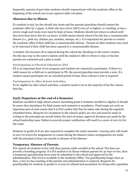frequently, parents of part-time students should communicate with the academic office at the beginning of the school year to pre-approve daily exit plans.

# <span id="page-12-0"></span>**Absences due to Illness**

If a student is sick, he/she should stay home and the parents/guardians should contact the academic office by 7:45am. A child who has a fever (38℃/100.4℉ or higher), is vomiting, or has a severe cough and runny nose must be kept at home. Students should not return to school until they have been fever-free for 24 hours. A child cannot attend school if he/she has a communicable disease (i.e., pink eye, chicken pox, measles, mumps, etc.). It is important for parents to contact the academic office if their child has a communicable disease. Parents of other students may need to be informed if their child has been exposed to a communicable disease.

A student who becomes ill or injured during the school day should go to the nurse's station. He/she may stay in the nurse's station until the student is able to return to class or his/her parents are contacted and a plan is made.

#### <span id="page-12-1"></span>**Participation in Physical Education (PE)**

PE is an important facet of our program and students are expected to participate. If there is a valid reason for a child not to participate in PE, the parent/guardian must provide a note. If a student cannot participate for an extended period of time, then a doctor's note is required.

#### <span id="page-12-2"></span>**Participation in After School Activities**

To be eligible for after school activities, a student needs to be in the majority of his/her classes that day.

#### <span id="page-12-3"></span>**Early Departure at the end of a Semester**

Students enrolled in high school courses (including grade 8 students enrolled in Algebra I) should be aware that attendance for final exams each semester is mandatory. Final exams are such an important part of each course that it is FIA's policy that they be taken only during the regularly scheduled times. Requests for exceptions to the school's policy are rare and must be made in writing to the principal one month before the start of exams; approval decisions are made by the school leadership team. Failure to provide proper notification will result in a score of zero (0) for the exam.

Students in grades K-8 are also expected to complete the entire semester. Leaving early will result in zero (0) scores for assignments or exams during the absence unless arrangements are made with the principal at least one month in advance of the absence.

#### <span id="page-12-4"></span>**Temporary Absence of Parents**

FIA expects its students to live with their parents while enrolled at the school. FIA does not provide a boarding program. If a FIA student is in Davao without parents for 30 days or less, then a temporary guardianship form must be submitted to the school and approved by the administration. This form is available in the Academic Office. For guardianship longer than 30 days, a face-to-face meeting of the parents and administration is required. Requests for guardianship for students in grades 6-12 may be refused and permission for living with a guardian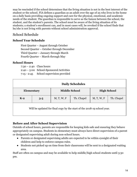may be rescinded if the school determines that the living situation is not in the best interest of the student or the school. FIA defines a guardian as an adult over the age of 25 who lives in the home on a daily basis providing ongoing support and care for the physical, emotional, and academic needs of the student. The guardian is responsible to serve as the liaison between the school, the student, and the student's parents. The school must be aware of the living situation of its students; a student's enrollment can, and in most cases will, be revoked if the school finds that he/she is not living with parents without school administration approval.

# <span id="page-13-0"></span>School Schedule

# <span id="page-13-1"></span>**School Year Schedule**

First Quarter – August through October Second Quarter – October through December Third Quarter – January through March Fourth Quarter – March through May

#### <span id="page-13-2"></span>**School Hours**

7:30 – 2:40 Class hours 2:40 – 5:00 School-Sponsored Activities 7:15 - 2:45 School supervision provided

<span id="page-13-3"></span>

| <b>Daily Schedules</b>                                                  |         |                      |            |                    |            |  |
|-------------------------------------------------------------------------|---------|----------------------|------------|--------------------|------------|--|
| Elementary                                                              |         | <b>Middle School</b> |            | <b>High School</b> |            |  |
| $K-2$                                                                   | $3 - 5$ | M, T, W, F           | Th. Chapel | M, T, W, F         | Th. Chapel |  |
| Will be updated for final copy by the start of the 2018-19 school year. |         |                      |            |                    |            |  |

#### <span id="page-13-4"></span>**Before and After School Supervision**

Outside of school hours, parents are responsible for keeping kids safe and ensuring they behave appropriately on campus. Students in elementary must always have direct supervision of a parent or designated supervising adult during non-school hours.

- Parents or designated supervising adults are expected to be within eyesight of their children and help to enforce campus rules.
- Students not picked up on time from their classrooms will be sent to a designated waiting area.

Staff are often on campus and may be available to help middle/high school students until 3:30 pm.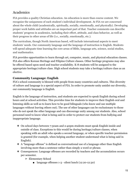# <span id="page-14-0"></span>Academics

FIA provides a quality Christian education. An education is more than course content. We recognize the uniqueness of each student's individual development. At FIA we are concerned about the whole child (academically, spiritually, socially, emotionally, and physically). Developing proper work habits and attitudes are an important part of that. Teacher comments can describe students' progress in academics, including their effort, attitude, and class behavior, as well as their progress in other areas of life (i.e., socially, emotionally, etc.).

The curriculum, though North American based, will include international aspects to meet students' needs. Our community language and the language of instruction is English. Students will spend adequate time learning the core areas of Bible, language arts, science, social studies, and mathematics.

FIA provides opportunities to learn through art, computer, music, and physical education classes. FIA also offers Korean Heritage and Filipino Culture classes. Other heritage programs may also be offered based upon need and teacher availability. K-8 students will be assigned to the appropriate heritage/culture class. High school students may take a heritage/culture class as an elective.

#### <span id="page-14-1"></span>**Community Language: English**

FIA's school community is blessed with people from many countries and cultures. This diversity of culture and language is a special aspect of FIA. In order to promote unity amidst our diversity, our community language is English.

English is the language of instruction, and students are expected to speak English during school hours and at school activities. This provides time for students to improve their English oral and listening skills as well as to learn how to be good bilinguals (who know and use multiple languages without leaving others out). The use of other languages can be exclusionary to those who do not speak the other language and can discourage unity among our students. Also, school personnel need to know what is being said in order to protect our students from bullying and inappropriate language.

- ❖ On school days between 7:30am and 2:40pm students must speak English inside and outside of class. Exceptions to this would be during heritage/culture classes, when speaking with an adult who speaks a second language, or when specific teacher-permission is granted (for example, when helping another student understand what is being said in English).
- ❖ A "language offense" is defined as conversational use of a language other than English involving more than a sentence rather than simply a word or phrase.
- ❖ Consequences: Language offenses are recorded by teachers and the accumulation occurs per semester.
	- ➢ Elementary School
		- language offenses 1-3 silent lunch (12:20-12:30)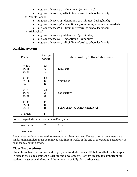- language offenses 4-6 silent lunch (12:20-12:40)
- language offenses 7-9 discipline referral to school leadership
- ➢ Middle School
	- language offenses 1-3 detention 1 (20 minutes; during lunch)
	- language offenses 4-6 detention 2 (40 minutes; scheduled as needed)
	- language offenses 7-9 discipline referral to school leadership
- $\triangleright$  High School
	- language offenses 1-3 detention 1 (30 minutes)
	- language offenses 4-6 detention 2 (60 minutes)
	- language offenses 7-9 discipline referral to school leadership

#### <span id="page-15-0"></span>**Marking System**

| <b>Percent</b>                  | Letter<br>Grade              | Understanding of the content is $\dots$ |
|---------------------------------|------------------------------|-----------------------------------------|
| 97-100<br>93-96<br>90-92        | $A+$<br>$\mathbf{A}$<br>$A-$ | Excellent                               |
| 87-89<br>83-86<br>80-82         | $B+$<br>B<br>$B-$            | Very Good                               |
| $77 - 79$<br>73-76<br>$70 - 72$ | $C+$<br>$\mathbf C$<br>$C-$  | Satisfactory                            |
| 67-69<br>63-66<br>60-62         | $D+$<br>D<br>$D-$            | Below expected achievement level        |
| 59 or less                      | $\mathbf{F}$                 |                                         |

Some designated courses use a Pass/Fail system.

| 70 or more | Pass |
|------------|------|
| 69 or less | Fail |

Incomplete grades are granted for extenuating circumstances. Unless prior arrangements are made, an incomplete must be removed within four weeks of the end of the grading period or it is changed to a failing grade.

#### <span id="page-15-1"></span>**Class Preparedness**

Students are to arrive on time and be prepared for daily classes. FIA believes that the time spent in class is crucial to a student's learning and development. For that reason, it is important for students to get enough sleep at night in order to be fully alert during class.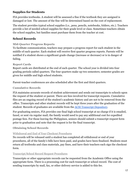## <span id="page-16-0"></span>**Supplies for Students**

FIA provides textbooks. A student will be assessed a fine if the textbook they are assigned is damaged or lost. The amount of the fine will be determined based on the cost of replacement.

The student provides typical school supplies (i.e., pens, pencils, notebooks, folders, etc.). Teachers provide a list of needed school supplies for their grade level or class. Sometimes teachers obtain the school supplies, but families must purchase them from the teacher at cost.

#### <span id="page-16-1"></span>**School Records**

#### <span id="page-16-2"></span>**Mid-Quarter Progress Reports**

To facilitate communication, teachers may prepare a progress report for each student in the middle of each quarter. Each student will receive first quarter progress reports. Parents will be notified if a student shows a significant grade change (increase or decrease) or is in danger of failing.

#### <span id="page-16-3"></span>**Report Cards**

Report cards are distributed at the end of each quarter. The school year is divided into four grading periods called quarters. The four quarters make up two semesters; semester grades are given for middle and high school students.

Parent-teacher conferences are also scheduled after the first and third quarters.

#### <span id="page-16-4"></span>**Cumulative Records**

FIA maintains accurate records of student achievement and sends out transcripts to schools upon the request of the student or parent. There are fees involved for transcript requests. Cumulative files are an ongoing record of the student's academic history and are not to be removed from the office. Transcripts and other student records will be kept three years after the graduation of the student. Records of graduates are available from the [ACSI Transcript Depository](https://www.acsi.org/interest/international/intl-school-transcript-depository).

For graduating seniors, FIA provides one final high school transcript at no charge if it is emailed, faxed, or sent via regular mail; the family would need to pay any additional cost for expedited postage fees. For those leaving the Philippines, seniors should submit a transcript request form prior to graduation and note that the request is for the final transcript.

#### <span id="page-16-5"></span>**Obtaining School Records**

#### <span id="page-16-6"></span>Withdrawal and End of Year Checkout Procedures

No records will be released until a student has completed all withdrawal or end of year procedures, all of the family's bills have been paid, and grades have been finalized. Students must return all textbooks and class materials, pay fines, and have their teachers each sign the checkout form.

#### <span id="page-16-7"></span>Transcript/School Record Request Procedures

Transcripts or other appropriate records can be requested from the Academic Office using the appropriate form. There is a processing cost for each transcript or school record. The cost of sending transcripts by mail, fax, or other delivery service is added to this fee.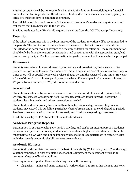Transcript requests will be honored only when the family does not have a delinquent financial account with FIA. Requests for official transcripts should be made a week in advance, giving the office five business days to complete the request.

The official record is school property. It includes all the student's grades and any standardized test scores that have been sent to the school.

Previous graduates from FIA should request transcripts from the ACSI Transcript Depository.

# <span id="page-17-0"></span>**Retention**

If the school determines it is in the best interest of the student, retention will be recommended to the parents. The notification of low academic achievement or behavior concerns should be indicated to the parent well in advance of a recommendation for retention. The recommendation should only be done after careful consideration and consultation with the appropriate staff, lead teacher, and principal. The final determination for grade placement will be made by the principal.

# <span id="page-17-1"></span>**Homework**

Students are assigned homework regularly to practice and use what they have learned or to prepare for upcoming lessons. The amount of time will depend on each child's rate of learning. At times there will be special homework projects that go beyond the suggested time limits. However, a "rule of thumb" is 10 minutes per day per grade level. For example, in 1<sup>st</sup> grade ten minutes; in  $2<sup>nd</sup>$  grade twenty minutes; in 6<sup>th</sup> grade 60 minutes, and so on.

## <span id="page-17-2"></span>**Assessment**

Students are evaluated by various assessments, such as classwork, homework, quizzes, tests, writing, projects, etc. Assessments help FIA teachers evaluate student growth, determine students' learning needs, and adjust instruction as needed.

Students should not normally have more than three tests in one day; however, high school students may exceed this guideline, particularly before breaks and at the end of grading periods. Teachers are encouraged to communicate clearly and in advance regarding assessments.

In addition, each year FIA students take standardized tests.

# <span id="page-17-3"></span>**Academic Progress Reports**

Participation in extracurricular activities is a privilege and can be an integral part of a student's educational experience; however, students must maintain a high academic standard. Students must maintain a 2.5 GPA and not be failing any class to be able to participate in extracurricular activities. Weekly academic eligibility checks are conducted.

# <span id="page-17-4"></span>**Academic Honesty**

Students should complete their work to the best of their ability (Colossians 3:23; 2 Timothy 2:15). Whether completed in class or outside of school, it is important that a student's work is an accurate reflection of his/her abilities.

Cheating is not acceptable. Forms of cheating include the following:

● plagiarism - taking and using someone's work or ideas, but presenting them as one's own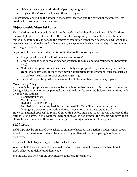- giving or receiving unauthorized help on any assignment
- copying others' work or allowing others to copy work

Consequences depend on the student's grade level, teacher, and the particular assignment. It is possible for a student to receive a zero.

# <span id="page-18-0"></span>**Objectionable Material Policy**

The Christian should not be isolated from the world, but he should be a witness of the Truth to the world (John 17:14-21). Therefore, there is value in exposing our students to non-Christian material, as long as this is done in the context of evaluation rather than acceptance. Objectionable aspects must therefore be used with great care, always remembering the maturity of the students and the goal of edification.

Objectionable material includes, but is not limited to, the following areas:

- Inappropriate uses of the Lord's name (Exodus 20:7)
- Crude language such as swearing and references to sexual and bodily functions (Ephesians 4:29)
- Nudity & descriptions of sexual acts are totally inappropriate to present in any sensual or graphic way; however, at times they may be appropriate for instructional purposes such as in a biology, health, or art class (Romans 13:13-14)
- Sin should never be glorified or even implied to be acceptable (Romans 13:13-14)

#### Movie Rating Policy

At times it is appropriate to show movies at school, either related to instructional content or during a leisure activity. Prior parental approval will not be required before showing films with the following ratings:

Elementary School- G Middle School- G, PG High School- G, PG, PG-13

Permission is always required for movies rated R. NC-17 films are never permitted.

(Ratings are based on the Motion Picture Association of American standards.)

However, parental approval is required in writing before staff may show movies that exceed the ratings listed above. In the event that parent approval is not granted, the teacher will provide an alternate assignment and there will be no negative consequences to the child's grade.

# <span id="page-18-1"></span>**Field Trips**

Field trips may be organized by teachers to enhance classroom instruction. Students must return a field trip permission form signed by a parent or guardian before participating in off-campus field trips.

Requests for field trips are approved by the lead teacher.

While on field trips and school-sponsored trips/activities, students are expected to adhere to FIA's behavior guidelines and dress code.

See the field trip policy in the appendix for additional information.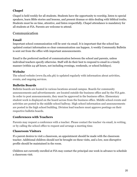# <span id="page-19-0"></span>**Chapel**

Chapel is held weekly for all students. Students have the opportunity to worship, listen to special speakers, learn Bible stories and lessons, and present dramas or skits dealing with biblical truths. Students must be on time, attentive, and listen respectfully. Chapel attendance is mandatory for all students at FIA. Parents are welcome to attend.

# <span id="page-19-1"></span>Communication

#### <span id="page-19-2"></span>**Email**

Important school communication will be sent via email. It is important that the school has updated contact information so clear communication can happen. A weekly Community Bulletin is sent out from the office with important announcements.

Email is the preferred method of communication between the school and parents, unless individual teachers specify otherwise. Staff will do their best to respond to email in a timely manner (within 24-48 hours, not including evenings, weekends, or school holidays).

#### <span id="page-19-3"></span>**Website**

The school website (www.fia.edu.ph) is updated regularly with information about activities, events, and ongoing services.

#### <span id="page-19-4"></span>**Bulletin Boards**

Bulletin boards are located in various locations around campus. Boards for community announcements and advertisements are located outside the business office and by the FIA gate. In order to post announcements, they must be approved in the business office. Elementary student work is displayed on the board across from the business office. Middle school events and activities are posted in the middle school hallway. High school information and announcements are posted in the high school building. Division lead teachers must approve postings on their respective bulletin boards.

#### <span id="page-19-5"></span>**Conferences with Teachers**

Parents may request a conference with a teacher. Please contact the teacher via email, in writing, or by calling the school office to request and arrange a meeting time.

#### <span id="page-19-6"></span>**Classroom Visitors**

If a parent desires to visit a classroom, an appointment should be made with the classroom teacher. Additional children should not be brought on these visits, and a low, non-disruptive profile should be maintained in the room.

Children not currently enrolled at FIA may contact the principal one week in advance to schedule a classroom visit.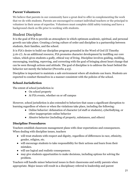# <span id="page-20-0"></span>**Parent Volunteers**

We believe that parents in our community have a great deal to offer in complementing the work that we do with students. Parents are encouraged to contact individual teachers or the principal to volunteer in their areas of expertise. Volunteers must complete child safety training and have a background check on file prior to working with students.

# <span id="page-20-1"></span>Student Discipline

It is the goal of FIA to provide an atmosphere in which optimum academic, spiritual, and personal growth can take place. Creating a loving culture of order and discipline is a partnership between students, their families, and the school.

It is FIA's desire to build our discipline program grounded in the Word of God (II Timothy 3:16-17). As an additional resource, FIA promotes character development by instilling our core values, which gives students a godly, ethical way of living. Discipline involves guiding, molding, encouraging, teaching, reproving, and correcting with the goal of bringing about heart change that can be seen through actions and attitude. The goal of discipline is to address the heart behind the behavior not merely the behavior (Proverbs 4:23).

Discipline is important to maintain a safe environment where all students can learn. Students are expected to conduct themselves in a manner consistent with the policies of the school.

## <span id="page-20-2"></span>**School Jurisdiction**

The extent of school jurisdiction is:

- On school property
- At FIA events, whether on or off campus

However, school jurisdiction is also extended to behaviors that cause a significant disruption to learning regardless of where or when the violations take place, including the following:

- Online behavior: defamation of character (of staff or students), cyberbullying, or other inappropriate online behavior
- Abusive behavior (including of property, substances, and others)

#### <span id="page-20-3"></span>**Discipline Procedures**

Teachers establish classroom management plans with clear expectations and consequences. When dealing with discipline issues, teachers

- will treat students with respect and dignity, regardless of differences in race, ethnicity, gender, religion, etc.
- will encourage students to take responsibility for their actions and learn from their mistakes.
- will use logical and realistic consequences.
- may give students opportunities to make decisions, including options for solving the problem.

Teachers will handle minor behavioral issues in their classrooms and notify parents when appropriate. Major issues will result in a disciplinary referral to leadership and parent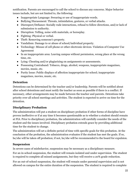notification. Parents are encouraged to call the school to discuss any concerns. Major behavior issues include, but are not limited to, the following:

- Inappropriate Language: Swearing or use of inappropriate words.
- Bullying/Harassment: Threats, intimidation, gestures, or verbal attacks.
- Disrespect/Defiance: Socially rude interactions, refusal to follow directions, and/or lack of submission to authority.
- Disruption: Yelling, noise with materials, or horseplay.
- Fighting: Physical or verbal.
- Theft: Removing someone's property.
- Vandalism: Damage to or abuse of school/individual property.
- Technology: Misuse of cell phone or other electronic devices. Violation of Computer Use Agreement
- In an inappropriate area: Leaving campus without permission, wrong place at the wrong time, etc.
- Lying: Cheating and/or plagiarizing on assignments or assessments.
- Possessing Contraband: Tobacco, drugs, alcohol, weapons, inappropriate magazines, movies, music, etc.
- Purity Issue: Public displays of affection inappropriate for school; inappropriate magazines, movies, music, etc.

#### <span id="page-21-0"></span>**Detention**

Detentions can be determined by the teacher and/or leadership. Parents will be notified about after school detentions and must notify the teacher as soon as possible if there is a conflict. If necessary, other arrangements may be made between the teacher and parents. Detentions take priority over all school meetings and activities. The student is expected to arrive on time for the detention.

# <span id="page-21-1"></span>**Disciplinary Probation**

The administration will put a student on disciplinary probation if other forms of discipline have proven ineffective or if at any time it becomes questionable as to whether a student should remain at FIA. Prior to disciplinary probation, the administration will carefully consider the needs of the student and the issues involved. Disciplinary probation extends grace by providing additional time for the student to change.

The administration will set a definite period of time with specific goals for this probation. At the conclusion of the probation, the administration evaluates if the student has met the goals. If so, he/she will be taken off probation; if not, he/she will be recommended to the board for expulsion.

# <span id="page-21-2"></span>**Suspension**

In severe cases of misbehavior, suspension may be necessary as a disciplinary measure. For an in-school suspension, the student will remain isolated and under supervision. The student is required to complete all missed assignments, but they will receive a 20% grade reduction.

For an out-of-school suspension, the student will remain under parental supervision and is not allowed on campus for the entire duration of the suspension. The student is required to complete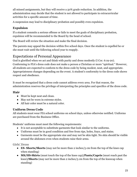all missed assignments, but they will receive a 50% grade reduction. In addition, the administration may decide that the student is not allowed to participate in extracurricular activities for a specific amount of time.

A suspension may lead to disciplinary probation and possibly even expulsion.

# <span id="page-22-0"></span>**Expulsion**

If a student commits a serious offense or fails to meet the goals of disciplinary probation, expulsion will be recommended to the Board by the head of school.

The Board will review the situation and make the final decision.

The parents may appeal the decision within five school days. Once the student is expelled he or she must wait until the following school year to reapply.

# <span id="page-22-1"></span>Expectations of Personal Appearance

God is glorified when we act and think with purity and dress modestly (I Cor. 6:19-20). Conforming to FIA's dress code does not make a person a Christian or more "spiritual." However, all students are expected to conform to the dress code by being modest, neat, and appropriate. Appropriateness changes depending on the event. A student's conformity to the dress code shows respect and obedience.

It must be recognized that a dress code cannot address every area. For that reason, the administration reserves the privilege of interpreting the principles and specifics of the dress code.

# <span id="page-22-2"></span>**Hair**

- Must be kept neat and clean.
- May not be worn in extreme styles.
- All hair color must be a natural color.

# <span id="page-22-3"></span>**Uniform Dress Code**

All students must wear FIA school uniforms on school days, unless otherwise notified. Uniforms are purchased from the Business Office.

Students' uniforms must meet the following requirements:

- It is not acceptable to substitute garments that look similar to the uniforms.
- Uniforms must be in good condition and free from rips, holes, frays, and stains.
- Garments must be the appropriate size and may not be skin tight. No skin should be visible around the abdomen even when students raise their arms.

<span id="page-22-4"></span>**Girls' Dress**

- **ES- Shorts/Skorts** (may not be more than 2 inches/5 cm from the top of the knee cap when standing)
- **MS/HS-Skirts** (must touch the top of the knee cap)**/Pants/Capris** (must reach past the knee)**/Shorts** (may not be more than 2 inches/5 cm from the top of the kneecap when standing)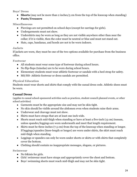#### <span id="page-23-0"></span>**Boys' Dress**

- **Shorts** (may not be more than 2 inches/5 cm from the top of the kneecap when standing)
- **● Pants/Trousers**

#### <span id="page-23-1"></span>**Miscellaneous**

- Piercings are not permitted on school days (except for earrings for girls).
- Undergarments must not show.
- Undershirts may be worn as long as they are not visible anywhere other than near the collar; if it is visible, then the color must be neutral or blue and must not stand out.
- Hats, caps, bandanas, and hoods are not to be worn indoors.

#### <span id="page-23-2"></span>**Jackets**

If jackets are worn, they must be one of the two options available for purchase from the business office.

<span id="page-23-3"></span>**Footwear**

- All students must wear some type of footwear during school hours.
- No flip-flops (tsinelas) are to be worn during school hours.
- Elementary students must wear athletic footwear or sandals with a heel strap for safety.
- MS/HS- Athletic footwear or dress sandals are permitted.

#### <span id="page-23-4"></span>**Physical Education**

Students must wear shorts and shirts that comply with the casual dress code. Athletic shoes must be worn.

#### <span id="page-23-5"></span>**Casual Dress**

(applies to casual school-sponsored activities such as practices, student council-planned events, or other school activities)

- Garments must be the appropriate size and may not be skin tight.
- No skin should be visible around the abdomen even when students raise their arms.
- Underwear and cleavage must not show.
- Shirts must have straps that are at least one inch wide.
- Shorts must reach mid-thigh when standing or have at least a five-inch (13 cm) inseam, unless spandex/leggings are worn underneath and meet that length requirement.
- Skirts must be three inches (7.5 cm) from the top of the kneecap when standing or longer. If leggings/spandex (knee-length or longer) are worn under skirts, the skirt must reach mid-thigh when standing.
- Leggings or spandex can only be worn under shorts or skirts or with shirts that completely cover the bottom.
- Clothing should contain no inappropriate messages, slogans, or pictures.

<span id="page-23-6"></span>**Swimwear**

- No bikinis for girls.
- Girls' swimwear must have straps and appropriately cover the chest and bottom.
- Boys' swimming shorts must reach mid-thigh and may not be skin tight.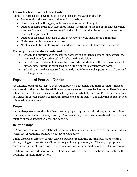## <span id="page-24-0"></span>**Formal School Events Dress Code**

(applies to formal school events such as banquets, concerts, and graduation)

- Students should wear dress clothes and look their best.
- Garments must be the appropriate size and may not be skin tight.
- Dresses or skirts must be at least three inches  $(7.5 \text{ cm})$  from the top of the kneecap when standing. If there is a lace/sheer overlay, the solid material underneath must meet the three inch requirement.
- Dresses or tops must have a strap and modestly cover the back, chest, and midriff.
- Underwear or cleavage must not show.
- No skin should be visible around the abdomen, even when students raise their arms.

#### <span id="page-24-1"></span>**Consequences for dress code violation**

- If there is a question as to the appropriateness of a student's personal appearance, the lead teacher and/or principal will make the final decision.
- School Days: If a student violates the dress code, the student will sit in the office until either a new uniform is purchased or a suitable outfit is brought from home.
- School-sponsored events: Students who do not follow school expectations will be asked to change or leave the event.

# <span id="page-24-2"></span>Expectations of Personal Conduct

As a multicultural school located in the Philippines, we recognize that there are many areas of social conduct that may be viewed differently because of our diverse backgrounds. Therefore, as a school, we have chosen to take a stand that respects views held by the local Christian community as well as the greater mission community represented at the school. The following policies reflect this sensitivity to others.

# <span id="page-24-3"></span>**Respect**

Acceptable personal conduct involves showing proper respect towards others, authority, school rules, and differences in beliefs/theology. This is especially true in an international school with a mixture of races, languages, ages, and genders.

# <span id="page-24-4"></span>**Relationships**

FIA encourages wholesome relationships between boys and girls, believes in a traditional, biblical worldview of relationships, and encourages sexual purity.

Public displays of affection are not allowed during school hours. This includes hand-holding, sitting/laying on other students' laps, prolonged hugging, kissing, etc. The only appropriate on-campus, physical expression in dating relationships is hand-holding outside of school hours.

Relationships deemed inappropriate will be dealt with on a case-by-case basis; this includes the possibility of disciplinary action.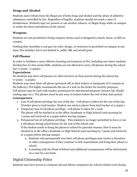# <span id="page-25-0"></span>**Drugs and Alcohol**

Students must refrain from the illegal use of both drugs and alcohol and the abuse of addictive substances controlled by law. Regardless of legality, students should not reach a state of drunkenness. Students may not possess or use alcohol, tobacco, or illegal drugs while on campus or under the direct jurisdiction of the school.

## <span id="page-25-1"></span>**Weapons**

Students are not permitted to bring weapons (items used or designed to attack, harm, or kill) on campus.

Nothing that resembles a real gun (in color, design, or structure) is permitted on campus at any time; this includes, but is not limited to, pellet, BB, and airsoft guns.

# <span id="page-25-2"></span>**Cell Phones**

In order to facilitate a more effective learning environment at FIA, including one where students develop face-to-face social skills, students are not allowed to carry cell phones during the school day (7:30am - 2:40pm).

#### **Expectations**

No students may have cell phones (or other devices) on their person during the school day (7:30am - 2:40pm).

Students may store their cell phone (powered off) in their lockers or backpacks (if it remains in the hallway); FIA highly recommends the use of a lock on the locker for security purposes. Cell phones may be used with teacher permission for educational purposes (science lab, Kindle reading app, etc.). The phones must be put away in lockers before the end of that class period.

#### **Consequences**

- 1. Loss of cell phone privilege the rest of the day Cell phone is taken for the rest of the day. (Teacher gives to lead teacher. Student can retrieve phone from lead teacher at 2:40pm.)
- 2. Temporary loss of cell phone privilege Cell phone is taken for 1 week. The phone will be checked in at the office (Academic or High School) each morning by 7:30am and retrieved at 2:40pm before leaving campus.
- 3. Permanent loss of cell phone privilege This student is no longer permitted to have or use a cell phone during school hours for the rest of the school year. If the student needs to bring the phone to school for parental reasons, then it must be checked in at the office (Academic or High School) each morning by 7:30am and retrieved at 2:40pm before leaving campus.
	- a. Students who permanently lose their cell phone privileges may receive a detention or other consequences if they continue to defy expectations and bring their phone to school.
	- b. A meeting with the Head of School and additional consequences will be determined on a case-by-case basis.

# <span id="page-25-3"></span>Digital Citizenship Policy

Students may have access to computer lab and library computers for school-related work during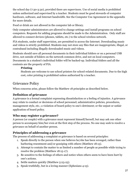the school day (7:30-3:30), provided there are supervisors. Use of social media is prohibited unless authorized and supervised by a teacher. Students must be good stewards of computer hardware, software, and Internet bandwidth. See the Computer Use Agreement in the appendix for more details.

Food or drink are not allowed in the computer lab or library.

Only computer administrators are allowed to change settings and install programs on school computers. Requests for adding programs should be made to the Administration. Only staff are allowed to connect devices (phones, tablets, etc.) to the school wireless network.

FIA students, under staff supervision, are permitted to access the Internet. Downloading music and videos is strictly prohibited. Students may not store any files that are inappropriate, illegal, or contraband including illegally downloaded music and videos.

Students should save all personal documents in their individual folders or on a personal USB drive, not outside of folders on the network common drive, and not on local computers. Documents in a student's individual folder will be backed-up. Individual folders and all the contents are the property of FIA.

#### **Printing**

Students are welcome to use school printers for school-related documents. Due to the high cost, color printing is prohibited unless authorized by a teacher.

# <span id="page-26-0"></span>Grievance Policy

When concerns arise, please follow the Matthew 18 principles as described below.

# <span id="page-26-1"></span>**Definition of grievance**

A grievance is a formal complaint expressing dissatisfaction or a feeling of injustice. A grievance may relate to conduct or decisions of school personnel; administrative policies, procedures, management style, etc.; a violation of board policy to one's detriment; or the unjust or unfair application of board policy.

#### <span id="page-26-2"></span>**Who may register a grievance?**

A person (or couple) with a grievance must represent himself/herself, but may ask one other person to accompany him/her even at the first step of the process. No one may seek to resolve a grievance on behalf of another person.

# <span id="page-26-3"></span>**Principles of addressing a grievance**

The process of addressing a complaint or grievance is based on several principles:

- 1. Speak directly to the person when one believes he/she has been wronged, rather than harboring resentment and/or gossiping with others (Matthew 18:15).
- 2. Attempt to contain the matter to as limited a number of people as possible while trying to resolve the problem (Matthew 18:15-17).
- 3. Be sensitive to the feelings of others and notice when others seem to have been hurt by one's actions.
- 4. Settle matters quickly (Matthew 5:23-25).
- 5. Speak truthfully, but in a loving manner (Ephesians 4:15).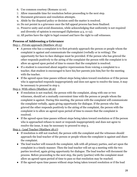- 6. Use common courtesy (Romans 12:10).
- 7. Allow reasonable time for resolution before proceeding to the next step.
- 8. Document grievances and resolution attempts.
- 9. Abide by the disputed policy or decision until the matter is resolved.
- 10. Do not persist in a grievance once the full appeal process has been finalized.
- 11. Preserve unity and avoid dissension, while acknowledging that uniformity is not required and diversity of opinion is encouraged (Ephesians 4:3, 11-13).
- 12. All parties have the right to legal counsel and have the right to call witnesses.

#### <span id="page-27-0"></span>**Process of Addressing a Grievance**

Step 1 - Private approach (Matthew 18:15)

- A person who has a complaint is to first privately approach the person or people whom the complaint is against and communicate the complaint (verbally or in writing). The opportunity for face-to-face dialogue must be provided. If the person who has grieved the other responds positively to the airing of the complaint the person with the complaint is to allow an agreed upon period of time to ensure that the complaint is resolved.
- If a student is concerned about negative repercussions from voicing a complaint to a teacher, that student is encouraged to have his/her parents join him/her for the meeting with the teacher.
- If the agreed-upon time passes without steps being taken toward resolution or if the person who is approached responds inappropriately and does not agree to resolve the issue, it may be necessary to proceed to step 2.

Step 2- With others (Matthew 18:16)

- If resolution is not reached, the person with the complaint, along with one or two witnesses, should set a mutually convenient time with the person or people whom the complaint is against. During this meeting, the person with the complaint will communicate the complaint verbally, again giving opportunity for dialogue. If the person who has grieved the other responds positively to the airing of the complaint, the person with the complaint is to allow an agreed upon period of time to ensure that the complaint is resolved.
- If the agreed-upon time passes without steps being taken toward resolution or if the person who is approached refuses to meet or responds inappropriately and does not agree to resolve the issue, it may be necessary to proceed to step 3.

Step 3 - Lead Teacher (Matthew 18:17)

- If resolution is still not reached, the person with the complaint and the witnesses should approach the lead teacher of the person or people whom the complaint is against and share the complaint.
- The lead teacher will research the complaint, talk with all primary parties, and act upon the complaint in a timely manner. Then the lead teacher will set up a meeting with the two parties involved, again giving opportunity for dialogue. The lead teacher will document the process. Before proceeding to the next step, the party (parties) with the complaint must allow an agreed-upon period of time to pass so that resolution may be reached.
- If the agreed-upon time passes without steps being taken toward resolution or if the lead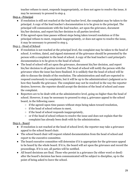teacher refuses to meet, responds inappropriately, or does not agree to resolve the issue, it may be necessary to proceed to step 4.

Step 4 - Principal

- If resolution is still not reached at the lead teacher level, the complaint may be taken to the principal. A copy of the lead teacher's documentation is to be given to the principal. The principal will communicate with the lead teacher, act upon the grievance, document his/her decision, and report his/her decision to all parties involved.
- If the agreed-upon time passes without steps being taken toward resolution or if the principal refuses to meet, responds inappropriately, or does not agree to resolve the issue, it may be necessary to proceed to step 5.

Step 5 - Head of School

- If resolution is not reached at the principal level, the complaint may be taken to the head of school. A written, dated, and signed statement of the grievance should be presented by the person with a complaint to the head of school. A copy of the lead teacher's and principal's documentation is to be given to the head of school.
- The head of school will act upon the grievance, document his/her decision, and report his/her decision to all parties involved. The head of school will notify the person with the grievance when the issue has been finalized. It is unlikely that the head of school will be able to discuss the details of the resolution. The administration and staff are expected to respond courteously to complaints, but it will be up to the administration's judgment as to how they handle the grievance. The complaint may not be resolved in the way the reporter desires; however, the reporter should accept the decision of the head of school and cease the complaint.
- Reporters are to be dealt with at the administrative level, going no higher than the head of school. However, it may be necessary to proceed to step 5, grievance appeal to the school board, in the following cases:
	- $\circ$  if the agreed-upon time passes without steps being taken toward resolution,
	- o if the head of school refuses to meet,
	- $\circ$  if the head of school responds inappropriately,
	- or if the head of school refuses to resolve the issue and does not explain that the complaint has already been dealt with by the administration.

# Step 6 - Board

- If resolution is not reached at the head of school level, the reporter may take a grievance appeal to the school board chair.
- The school board chair will request related documentation from the head of school and report to the executive committee.
- The board executive committee will determine if it is appropriate for the grievance appeal to be heard by the whole board. If it is, the board will act upon the grievance and record the proceedings. If it is not, all parties will be notified.
- All board decisions are final. Those who persist in a grievance (by either word or deed) after the board's decision has been communicated will be subject to discipline, up to the point of being asked to leave the school.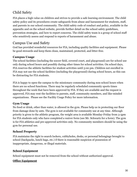# <span id="page-29-0"></span>Child Safety

FIA places a high value on children and strives to provide a safe learning environment. The child safety policy and its procedures create safeguards from abuse and harassment for students, staff, and parents in our school community. The child safety code of conduct and policy, available in the appendix and on the school website, provide further detail on the school safety guidelines, prevention strategies, and how to report concerns. The child safety team is a group of school staff who sensitively assess and respond to reports of harassment and abuse.

# <span id="page-29-1"></span>Campus Use and Safety

God has provided wonderful resources for FIA, including quality facilities and equipment. Please be good stewards and keep them clean, maintained, protected, and litter-free.

## <span id="page-29-2"></span>**Campus Usage**

The school facilities (including the soccer field, covered court, and playground) are for school use only during school hours and possibly during other times for school activities. On school days, FIA reserves the athletic facilities for student activities until 5:00 pm. Children not enrolled in FIA may not use the school facilities (including the playground) during school hours, as this can be distracting for FIA students.

FIA is happy to open the campus to the missionary community during non-school hours when there are no school functions. There may be regularly scheduled community sports times throughout the week that have been approved by FIA. If they are available and the request is approved, FIA may rent the facilities to parents, staff, community members, and like-minded organizations. Please see the Facility Usage Policy for more information.

#### <span id="page-29-3"></span>**Gym Usage**

No food or drink, other than water, is allowed in the gym. Please help us in protecting our floor from damage done by ants. The gym is not available for community use at any time. Although priority is given to the athletic program, the weight area is available Monday-Friday from 3-5pm for FIA students only who have completed a waiver form (see Mr. Schwartz for a form). The gym is for FIA athletics and pre-approved activities only. No community members should be using the gym for personal use.

#### <span id="page-29-4"></span>**School Property**

FIA maintains the right to search lockers, cubbyholes, desks, or personal belongings brought to school (backpacks, lunch bags, etc.) if there is reasonable suspicion of possession of inappropriate, dangerous, or illegal materials.

#### **School Equipment**

School equipment must not be removed from the school without authorized approval.

#### **Office Equipment**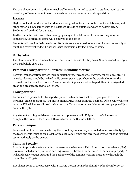The use of equipment in offices or teachers' lounges is limited to staff. If a student requires the use of any office equipment he or she needs to receive permission and supervision.

#### **Lockers**

High school and middle school students are assigned lockers to store textbooks, notebooks, and other materials. Lockers are not to be defaced (inside or outside) and are to be kept clean. Students will be fined for damage.

Textbooks, notebooks, and other belongings may not be left in public areas or they may be confiscated. Confiscated items will be moved to the office.

Students will provide their own locks. Students are encouraged to lock their lockers, especially at night and over weekends. The school is not responsible for lost or stolen items.

## **Cubbyholes**

The elementary classroom teachers will determine the use of cubbyholes. Students need to empty their cubbyhole each day.

## <span id="page-30-0"></span>**Personal Transportation Devices (including bicycles)**

Personal transportation devices include skateboards, waveboards, bicycles, rollerblades, etc. All wheeled-devices should be walked while on campus except when in the parking lot or on the covered court after school hours. Those who ride bicycles are asked to park them in designated areas and are encouraged to lock them.

#### <span id="page-30-1"></span>**Transportation**

Parents are responsible for transporting students to and from school. If you plan to drive a personal vehicle on campus, you must obtain a FIA sticker from the Business Office. Only vehicles with the FIA sticker are allowed inside the gate. Taxis and other vehicles must drop people off just outside the gate.

Any student wishing to drive on campus must possess a valid Filipino driver's license and complete the Consent for Student Drivers form in the Business Office.

# <span id="page-30-2"></span>**Pets on Campus**

Pets should not be on campus during the school day unless they are invited to a class activity by the teacher. Pets must be on a leash or in a cage at all times and any mess created must be cleaned up immediately by the owner.

# <span id="page-30-3"></span>**Campus Security**

In order to provide a safe and effective learning environment Faith International Academy (FIA) hires contracted security officers and requires identification for entrance to the school property. A wall and security gates surround the perimeter of the campus. Visitors must enter through the main FIA or SIL gates.

FIA shares some of the property with SIL. Any person not a school family, school employee, or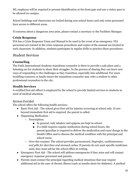SIL employee will be required to present identification at the front gate and use a visitor pass to be allowed on campus.

School buildings and classrooms are locked during non-school hours and only some personnel have access to different areas.

If concerns about a dangerous area arise, please contact a secretary or the Facilities Manager.

#### <span id="page-31-0"></span>**Crisis Response**

FIA has a Crisis Response Team and Manual to be used in the event of an emergency. FIA personnel are trained in the crisis response procedures and copies of the manual are located in each classroom. In addition, students participate in regular drills to practice these procedures.

# <span id="page-31-1"></span>Student Services

# <span id="page-31-2"></span>**Counseling**

The Faith International Academy transitions counselor is there to provide a safe place and a listening ear for students to share their struggles. In the process of sharing they can learn new ways of responding to the challenges as they transition, especially into adulthood. For more troubling concerns or family issues the transitions counselor may refer a student to other professional counselors in the city.

# <span id="page-31-3"></span>**Health Services**

A certified first aid officer is employed by the school to provide limited services to students in need of medical attention.

#### Services Provided

The school offers the following health services:

- Basic First Aid The school gives first aid for injuries occurring at school only. If care beyond immediate first aid is required, the parent is called.
- Dispensing Medication
	- Prescription:
		- In general, only inhalers and epipens are kept in school.
		- If a child requires regular medication during school hours, the parent/guardian is required to deliver the medication and exact dosage to the Health Office and to discuss the medical condition with the principal and school nurse.
	- Over-the-counter: The school provides *paracetamol, ibuprofen, antihistamines, and pills for diarrhea and stomach aches*. If parents do not want specific medicines used, they must advise the school office in writing.
- Emergency First Aid The school will address emergencies if they arise and will contact emergency response personnel and parents.
- Parents must contact the principal regarding medical situations that may require additional aid in the case of chronic illness (such as insulin shots for diabetes). A medical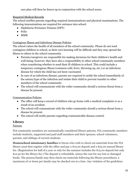care plan will then be drawn up in conjunction with the school nurse.

#### Required Medical Records

The school notifies parents regarding required immunizations and physical examinations. The following immunizations are required for entrance into school:

- Diphtheria-Pertusses-Tetanus (DPT)
- Polio
- MMR

#### Contagious Illness and Infectious Disease Policies

The school values the health of all members of the school community. Please do not send contagious children to school, as their own learning will be difficult and they may spread the illness to others in the school community.

- Parents/caregivers are responsible for making decisions for their children's health and well-being; however, they have also a responsibility to other school community members when considering whether to send their ill children to school. This could include a temporary contagious illness (common cold, fever, throwing up, etc.) or an infectious disease for which the child has not been vaccinated.
- In case of an infectious disease, parents are required to notify the school immediately of the nature/type of the infection and isolate their child to prevent transfer to other members of the school community.
- The school will communicate with the wider community should a serious threat from a disease be present.

#### Communication Policies

- The office will keep a record of children who go home with a medical complaint or as a result of an accident.
- The school will communicate with the wider community should a serious threat from a disease be present.
- The school will notify parents regarding communicable disease control.

# <span id="page-32-0"></span>**Library**

#### Patrons

FIA community members are automatically considered library patrons. FIA community members include students, supported and paid staff members and their spouses, school volunteers, parents, and siblings of current students.

**Homeschool missionary families** in Davao who wish to check out materials from the FIA library must first register with the office and pay a \$75.00 deposit and a \$25.00 annual library fee. (Registration for half of a year or only for the summer includes the \$75.00 deposit but only \$12.50 for the library fee.) The deposit is refundable, minus the cost for any lost or damaged books. The person/family may then check out materials following the library procedures; a maximum of 10 items per family may be checked out at a time. Any violation of the guidelines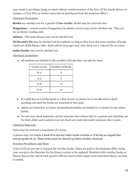may result in privileges being revoked without reimbursement of the fees. (If the family drives on campus, a P100 FIA car sticker must also be purchased from the business office.)

#### Checkout Procedures

**Books** are checked out for a period of **two weeks**. Books may be renewed once.

**Magazines** - current issues of magazines (in plastic covers) may not be checked out. They are for in-library reading only.

**Atlases** - The large atlases may not be checked out.

**DVDs and CDs** may be checked out by students as long as they have the same number of books check out (EMS library only). Each patron (any age) may only check out 2 videos/CDs at a time.

**Index books** may not be checked out.

#### Checkout Limitations

● All students are limited in the number of books they can take by class:

| <b>Grade Levels</b> | Number of Books |
|---------------------|-----------------|
| $K-2$               | 3               |
| $3 - 5$             | 5               |
| $6 - 8$             | 8               |
| $9 - 12$            | 10              |

- If a child has an overdue book or a fine of over 50 pesos, he is not allowed to check anything out until the books are returned or fine paid.
- Adults are limited to 10 items. Homeschool families are limited to 10 books for the entire family.
- No one may check materials out for someone else (unless they're a parent and checking out for their child) and a patron may not check out materials under someone else's name.

#### Checkout Renewals

Items may be renewed a maximum of 2 times.

A patron may not renew a book if he has any other books overdue or if he has an unpaid fine (except grades K-2). These items must be cleared up before further checkout.

#### Overdue Procedures and Fines

A fine of P5.00 per day is charged for overdue books. Fines are paid in the business office; bring your receipt to the librarian for the library system to be updated. Students with overdue books or library fines at the end of each quarter will not receive their report card until their library account is settled.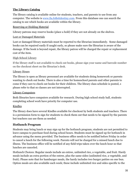#### **The Library Catalog**

The library catalog is available online for students, teachers, and parents to use from any computer. The website is [www.fia.follettdestiny.com](http://www.fia.follettdestiny.com/). From this database one can search the catalog to see which books are available within the library.

#### Reserving or Holding Material

Library patrons may reserve books (place a hold) if they are not already on the shelves.

#### Lost or Damaged Materials

Lost or damaged library materials must be reported to the librarian immediately. Some damaged books can be repaired easily if caught early, so please make sure the librarian is aware of the damage. If the book is beyond repair, the library patron will be charged the repair or replacement cost of the item.

#### High School Library

If the library staff is not available to check out books, please sign your name and barcode number on the checkout sheet on the librarian's desk.

#### Library Hours

The library is open as library personnel are available for students doing homework or parents wanting to check out books. There is also a time for homeschool parents and other parents to come if they care to check out books for their children. The library class schedule is posted, s please refer to that so classes are not interrupted.

#### Library Computers

Both libraries have computers available for research. During high school study hall, students completing school work have priority for computer use.

#### Kindles

The library does have several Kindles available for checkout by both students and teachers. There is a permission form to sign for students to check them out that needs to be signed by the parents but teachers can use them as needed.

#### <span id="page-34-0"></span>**Hotlunch Program**

Students may bring lunch or may sign up for the hotlunch program; students are not permitted to leave campus to purchase food during school hours. Students must be signed up for hotlunch in advance using the menu provided. The business office needs to be notified before Friday in order to cancel a lunch for the following week. Parents will not be charged for a missed lunch due to illness. The business office will be notified of any field trips taken over the lunch hour so that lunches are canceled.

Hotlunch Choices: Regular meals include an entree, unlimited rice, a vegetable, and fruit. Hardy meals include an extra portion of the entree, plus the same sides (unlimited rice, a vegetable, and fruit). Please note that for hamburger meals, the hardy includes two burger patties on one bun. Option meals are also available each week; these include unlimited rice and sides specific to the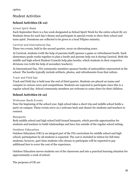option.

# <span id="page-35-0"></span>Student Activities

# <span id="page-35-1"></span>**School Activities (K-12)**

#### <span id="page-35-2"></span>**School Spirit Week**

Each September there is a fun week designated as School Spirit Week for the entire school (K-12). Students dress for each day's theme and participate in special events to show their school and team spirit. Donations are collected to be given to a local Filipino ministry.

#### <span id="page-35-3"></span>**Carnival and International Day**

These two events, held in the second quarter, occur on alternating years.

At Carnival, students (with the help of parents/staff) sponsor a game or refreshment booth. Each elementary grade works together to plan a booth and parents help run it during Carnival. Both the middle and high school Student Councils help plan booths, which students in their respective divisions run (with the help of secondary teachers).

At International Day, FIA community members sponsor booths of nationalities represented at the school. The booths typically include artifacts, photos, and refreshments from that culture.

#### <span id="page-35-4"></span>**Track and Field Day**

Track and Field day is held near the end of third quarter. Students are placed on teams and compete in various races and competitions. Students are expected to participate since this is a regular school day. School community members are welcome to come cheer for their children.

# <span id="page-35-5"></span>**School Activities (6-12)**

#### <span id="page-35-6"></span>**Welcome Back Events**

Near the beginning of the school year, high school takes a short trip and middle school holds a party on campus. These events serve as a welcome back and chance for students and teachers to connect.

#### <span id="page-35-7"></span>**Banquets**

Both middle school and high school hold formal banquets, which provide opportunities for students and teachers to build relationships and have fun outside of the regular school setting.

#### <span id="page-35-8"></span>**Outdoor Education**

Outdoor Education (OE) is an integral part of the FIA curriculum for middle school and high school; participation by all students is expected. The cost is included in tuition for full-time students; however, part-time students who choose to participate will be expected to pay additional fees to cover the cost of the experience.

Outdoor Education moves students out of the classroom and into a practical learning situation for approximately a week of school.

The purposes of OE are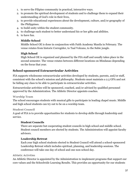- 1. to serve the Filipino community in practical, interactive ways.
- 2. to promote the spiritual development of students and to challenge them to expand their understanding of God's role in their lives,
- 3. to provide educational experiences about the development, culture, and/or geography of the Philippines.
- 4. to build unity within the student community.
- 5. to challenge each student to better understand his or her gifts and abilities.
- <span id="page-36-0"></span>6. to have fun.

#### **Middle School**

Middle School OE is done in conjunction with Faith Academy Manila in February. The venue rotates from historic Corregidor, to Taal Volcano, to the Subic jungle.

#### <span id="page-36-1"></span>**High School**

High School OE is organized and planned by the FIA staff and usually takes place in the second semester. The venue rotates between different locations on Mindanao depending on the focus that year.

# <span id="page-36-2"></span>**School-sponsored Extracurricular Activities**

FIA supports wholesome extracurricular activities developed by students, parents, and/or staff, consistent with the school's mission and philosophy. Students must maintain a 2.5 GPA and not be failing any class to be able to participate in extracurricular activities.

Extracurricular activities will be sponsored, coached, and/or advised by qualified personnel approved by the Administration. The Athletic Director appoints coaches.

#### <span id="page-36-3"></span>**Worship Team**

The school encourages students with musical gifts to participate in leading chapel music. Middle and high school students can try out to be on a worship team.

#### <span id="page-36-4"></span>**Student Council**

<span id="page-36-5"></span>A goal of FIA is to provide opportunities for students to develop skills through leadership and service.

#### **Student Councils**

There are separate but cooperating student councils in high school and middle school. Student council members are elected by students. The Administration will appoint faculty advisors.

#### <span id="page-36-6"></span>**Leadership Retreat**

Each year high school students elected to Student Council will attend a school-sponsored Leadership Retreat which includes spiritual, planning, and leadership sessions. The conference will take one day of school and one non-school day.

#### <span id="page-36-7"></span>**Athletic Activities**

An Athletic Director is appointed by the Administration to implement programs that support our core values and the Schoolwide Learning Results. This provides an opportunity for our students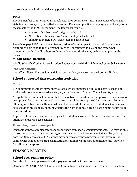to grow in physical skills and develop positive character traits.

## **ISAC**

FIA is a member of International Schools Activities Conference (ISAC) and sponsors boys' and girls' teams in volleyball, basketball and soccer. Each team practices and plays games locally for a season before the ISAC tournament. The typical schedule is:

- August to October: boys' and girls' volleyball
- November to January: boys' soccer and girls' basketball
- January to March: boys' basketball and girls' soccer

The school pays ISAC tournament fees and athletes' families pay for air travel. Students not planning or able to go to the tournaments are still encouraged to play on the team when competing locally. Middle school students with advanced skills may be invited to play on the teams.

## **Middle School Basketball**

Middle School basketball is usually offered concurrently with the high school basketball seasons.

#### <span id="page-37-0"></span>**Fine Arts Activities**

As staffing allows, FIA provides activities such as plays, concerts, musicals, or art displays.

# <span id="page-37-1"></span>**School-supported Extracurricular Activities**

#### <span id="page-37-2"></span>**Clubs**

FIA community members may apply to start a school-supported club. Club activities may not conflict with school-sponsored events (i.e., athletics events, Student Council events, etc.).

An application form must be submitted to the Activities Coordinator for approval. New clubs may be approved for a one quarter trial basis; recurring clubs are approved for a semester. For any off-campus club activities, there must be at least one adult for every 8-10 students. On-campus club activities must end by 5pm. FIA retains the right to cancel a club if participants do not abide by expectations.

Approved clubs can be recorded on high school students' co-curricular activities forms if accurate attendance records have been kept.

#### <span id="page-37-3"></span>**Elementary Parent-run Sports**

If parents want to organize after school sports programs for elementary students, FIA may be able to host the program. However, the organizers must provide the equipment since FIA typically does not. Similar to clubs, FIA parents may apply to start these programs, but they may not conflict with school-sponsored events. An application form must be submitted to the Activities Coordinator for approval.

# <span id="page-37-4"></span>FINANCE POLICIES

# <span id="page-37-5"></span>**School Fees Payment Policy**

For this school year, please follow this payment schedule for your school fees.

December 20, 2018 50% of Tuition and Capital fees paid (no report card can be given if a family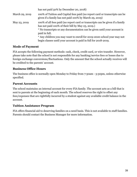|                | has not paid 50% by December 20, 2018)                                                                                                                                                                                                                                                                     |
|----------------|------------------------------------------------------------------------------------------------------------------------------------------------------------------------------------------------------------------------------------------------------------------------------------------------------------|
| March 29, 2019 | 100% of Tuition and Capital fees paid (no report card or transcripts can be<br>given if a family has not paid 100% by March 29, 2019)                                                                                                                                                                      |
| May 23, 2019   | 100% of all fees paid (no report card or transcripts can be given if a family<br>has not paid 100% of their bill by May 23, 2019.)<br>* No transcripts or any documentation can be given until your account is<br>paid in full.<br>* Any children you may want to enroll for 2019-2020 school year may not |
|                | begin classes until your account is paid in full for 2018-2019.                                                                                                                                                                                                                                            |

#### <span id="page-38-0"></span>**Mode of Payment**

FIA accepts the following payment methods: cash, check, credit card, or wire transfer. However, please take note that the school is not responsible for any banking/service fees or losses due to foreign exchange conversions/fluctuations. Only the amount that the school actually receives will be credited to the parents' account.

#### <span id="page-38-1"></span>**Business Office Hours**

The business office is normally open Monday to Friday from 7:30am - 3:30pm, unless otherwise specified.

#### <span id="page-38-2"></span>**Parent Accounts**

The school maintains an internal account for every FIA family. The account acts as a bill that is sent to parents at the beginning of each month. The school reserves the right to offset any fees/expenses that are rightfully incurred by a student against any available credit balance in the account.

#### <span id="page-38-3"></span>**Tuition Assistance Program**

FIA offers financial aid to deserving families on a need basis. This is not available to staff families. Parents should contact the Business Manager for more information.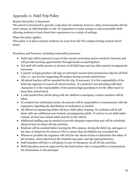# <span id="page-39-0"></span>Appendix A: Field Trip Policy

Reason this policy is important:

The school is structured to provide a safe place for students; however, other environments off-site aren't always as child-friendly or safe. It's important to make outings as safe as possible while allowing students to learn from their experiences in a variety of settings.

#### When the policy applies:

This policy is in place anytime students are away from the FIA campus during normal school hours.

Procedure and Practices, including responsible person(s):

- Field trips will be planned as part of the overall curriculum and/or student's interests and will provide learning opportunities through hands-on participation.
- FIA staff will notify parents in advance of all field trips and any other special arrangements necessary.
- A parent or legal guardian will sign an informed consent form (permission slip) for all field trips, i.e. any activity happening off campus during normal school hours.
- All school lunches will be canceled for the trip, if necessary. It is the responsibility of the field trip organizer to cancel all school lunches. If a student is not attending with their classmates it is the responsibility of the parents/legal guardians to let the office know to keep their school lunch.
- A well-stocked first aid kit along with the children's emergency contact numbers will be taken.
- If a student has medication needs, the parents will be responsible to communicate with the organizers regarding the distribution of medication as needed.
- All official accompanying adults will have child safety training. No students will be left alone with any additional non-trained, accompanying adults. If a driver is not child safety trained, at least one trained adult must be in the vehicle.
- Additional staffing may be needed to provide adequate supervision and will be scheduled ahead of time for these off-site activities.
- Students will be counted before leaving the FIA campus, during the field trip, and again at the time of departure for return to FIA to ensure that all children are accounted for.
- Whenever possible the organizer will visit the site ahead of time to determine the safety of the location, what experiences the students may gain, and age-appropriateness.
- Staff members will have a cell phone in case of emergency on all off-site activities.
- Field trip plans must be approved by the lead teacher who is responsible to communicate the information to the principal.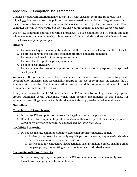# <span id="page-40-0"></span>Appendix B: Computer Use Agreement

God has blessed Faith International Academy (FIA) with excellent computer resources. The following guidelines and security policies have been created in order for us to be good stewards of these resources, to glorify God in our use of these resources, and to protect our investment. These computer systems belong to FIA, but they are also your investment to use and care for properly.

Use of FIA computers and the network is a privilege. To use computers at FIA, middle and high school students are required to sign this agreement. Failure to abide by these guidelines will result in the loss of computer privileges.

#### **GOALS**

- 1. To provide adequate access by students and staff to computers, software, and the Internet
- 2. To protect our students and staff from inappropriate and harmful material
- 3. To protect the integrity of the computer systems
- 4. To protect and respect the privacy of others
- 5. To uphold copyright laws
- 6. To encourage the use of computer resources for educational purposes and spiritual development

We respect the privacy of users, their documents, and email. However, in order to provide accountability, integrity, and responsibility regarding the use of computers on campus, the IT Administrator and the FIA Administration reserve the right to monitor all use of school computers, network, and stored files.

It may be necessary for the IT Administrator or the FIA Administration to give specific people or groups additional verbal guidelines, which then become amendments to this policy. All stipulations regarding consequences in this document also apply to the verbal amendments.

#### **Guidelines**

#### **Copyright and Legal Issues:**

- 1. Do not use FIA computers or network for illegal or commercial purposes.
- 2. Do not use FIA computers to pirate or make unauthorized copies of music, images, videos, software, or any other copyrighted material. Respect copyright laws.

#### **Prohibited Material:**

- 3. Do not use the FIA computer system to access inappropriate material, namely
	- a. Profanity, pornography, sexually explicit pictures or words, any material showing extreme violence or other obscene behavior.
	- b. Instructions for conducting illegal activities such as making bombs, invading other people's privacy, committing fraud, or obtaining unauthorized access.

#### **System Security and Integrity:**

- 4. Do not remove, replace, or tamper with the FIA serial number on computer equipment.
- 5. Do not download programs from the Internet.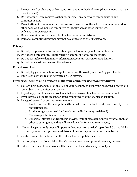- 6. Do not install or alter any software, nor run unauthorized software (that someone else may have installed).
- 7. Do not tamper with, remove, exchange, or install any hardware components in any computer at FIA.
- 8. Do not attempt to gain unauthorized access to any part of the school computer network or other people's files, nor use computers to illegally access other computers.
- 9. Only use your own account.
- 10. Report any violation of these rules to a teacher or administrator.
- 11. Personal computers (laptops) may not be connected to the FIA network.

#### **Privacy:**

- 12. Do not post personal information about yourself or other people on the Internet.
- 13. Do not send threatening, illegal, vulgar, obscene, or harassing materials.
- 14. Do not post false or defamatory information about any person or organization.
- 15. Do not broadcast messages on the network.

#### **Educational Use:**

- 1. Do not play games on school computers unless authorized (each time) by your teacher.
- 2. Limit use to school-related activities on FIA servers.

#### **Further guidelines and advice to make your computer use more productive:**

- A. You are held responsible for any use of your account, so keep your password a secret and remember to log off after each session.
- B. Report any possible security problems that you discover to a teacher or member of IT.
- C. If you have a legitimate reason for doing something prohibited, please ask first.
- D. Be a good steward of our resources, namely
	- a. Limit time on the computers (those who have school work have priority over recreational use).
	- b. Limit storage space used for files (large media files may be deleted).
	- c. Conserve printer ink and paper.
	- d. Conserve Internet bandwidth (no movies, instant messaging, internet radio, chat, or other streaming media that will slow down the Internet for everyone).
- E. Do not keep your only copy of important documents on the desktop or local C drive. Make sure you have a copy on a hard drive at home or in your folder on the network.
- F. Confirm your information from the Internet with reputable sources.
- G. Do not plagiarize: Do not take others' ideas and words and present them as your own.
- H. Files in the student data drives will be deleted at the end of every school year.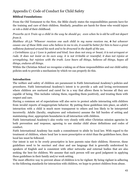# <span id="page-42-0"></span>Appendix C: Code of Conduct for Child Safety

#### **Biblical Foundations:**

From the Old Testament to the New, the Bible clearly states the responsibilities parents have for the training and care of their children. Similarly, penalties are harsh for those who would injure or rob a child of their childhood.

Proverbs 22:6 Train up a child in the way he should go; even when he is old he will not depart *from it.*

*Matthew 18:5,6 "Whoever receives one such child in my name receives me, 6 but whoever* causes one of these little ones who believe in me to sin, it would be better for him to have a great *millstone fastened around his neck and to be drowned in the depth of the sea.*

1 Corinthians 13:4-7 Love is patient and kind; love does not envy or boast; it is not arrogant or rude. It does not insist on its own way; it is not irritable or resentful; it does not rejoice at *wrongdoing, but rejoices with the truth. Love bears all things, believes all things, hopes all things, endures all things.*

Within the Christian School we recognize a taking on of these responsibilities and our child safety policies seek to provide a mechanism by which we can properly do this.

#### **Introduction**

The welfare and safety of children are paramount in Faith International Academy's policies and procedures. Faith International Academy's intent is to provide a safe and loving environment where children are nurtured and cared for in a way that allows them to become all they are capable of being. This includes valuing them, regarding them positively, and treating them with respect and care.

Having a common set of expectations will also serve to protect adults interacting with children from invalid reports of inappropriate behavior. By putting these guidelines into place, an adult's interaction with a child is much more transparent to others and less likely to be interpreted incorrectly. Adults (faculty, employees and volunteers) assume the full burden of setting and maintaining clear, appropriate boundaries in all interaction with children.

Faith International Academy's also works very closely with other Christian mission agencies in both prevention and response, agreeing to use similar child abuse definitions and codes of conduct.

Faith International Academy has made a commitment to abide by local law. With regard to the treatment of children, where local law is more prescriptive or strict than the guidelines here, then local law must be followed.

Our intent is not to be overly prescriptive in how parents raise their children. However, these guidelines need to be succinct and clear and use language that is generally understood by speakers of English and is consistent with other networks and external bodies that are also seeking the best for children. We assume that each person will use good judgment in applying these guidelines in their family and/or work setting.

The most effective way to prevent abuse of children is to be vigilant. By being vigilant in adhering to the following standards for interaction with children, we hope to protect children from abuse.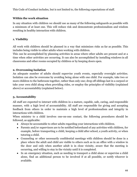This Code of Conduct includes, but is not limited to, the following expectations of staff.

#### **Within the work situation**

In any situation with children we should use as many of the following safeguards as possible with a minimum of at least one. This will reduce risk and demonstrate professionalism and wisdom resulting in healthy interaction with children.

#### **1. Visibility**

All work with children should be planned in a way that minimizes risks as far as possible. This includes being visible to other adults when working with children.

This can be accomplished by planning activities in areas where other adults are present and at a time when other activities are occurring. It can also be accomplished by installing windows in all classrooms and other rooms occupied by children or by keeping doors open.

#### **2. Overcoming Isolation**

An adequate number of adults should supervise youth events, especially overnight activities. Isolation can also be overcome by avoiding being alone with one child. For example, take two or more children to the bathroom together, rather than only one; drop off siblings last in a carpool or take your own child along when providing rides, or employ the principles of visibility (explained above) or accountability (explained below).

#### **3. Accountability**

All staff are expected to interact with children in a mature, capable, safe, caring, and responsible manner, with a high level of accountability. All staff are responsible for giving and accepting feedback from others in order to maintain a high level of professionalism and integrity in interactions with children.

When ministry to a child involves one-on-one contact, the following procedures should be followed, as applicable:

- Always be accountable to other adults regarding your interactions with children.
- Parents and/or supervisors are to be notified beforehand of any activities with children, for example, before transporting a child, keeping a child after school, a youth activity, or when tutoring a child.
- Counseling or other necessarily confidential meetings with children should be done in a place where the adult and child are visible to others such as in an office with a window in the door and only when another adult is in close vicinity, aware that the meeting is occurring, and willing to stay in the vicinity until it is completed.
- In an emergency situation, such as needing to transport a child alone or supervise a child alone, find an additional person to be involved if at all possible, or notify whoever is available.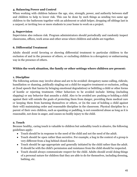#### **4. Balancing Power and Control**

When working with children balance the age, size, strength, power, and authority between staff and children to help to lower risk. This can be done by such things as sending two same age children to the bathroom together with an adolescent or adult helper, dropping off siblings last in a carpool, or inviting two or more students to your home to work on a project.

#### **5. Supervision**

Supervision also reduces risk. Program administrators should periodically and randomly inspect classrooms, offices, work areas and other areas where children and adults are together.

#### **6. Differential Treatment**

Adults should avoid favoring or showing differential treatment to particular children to the exclusion of and in the presence of others, or excluding children in a derogatory or embarrassing way in the presence of others.

#### **Within the work situation, the family or other settings where children are present:**

#### **1. Discipline**

The following actions may involve abuse and are to be avoided: derogatory name-calling, ridicule, humiliation or shaming, publically singling out a child for negative treatment or exclusion, yelling at (loud speech that harms by bringing emotional degradation) or belittling a child or other forms of hostile or rejecting treatment. Other behaviors to be avoided include: hitting (including slapping) or any behavior that assaults a child. Also to be avoided are: pushing or holding a child against their will outside the goals of protecting them from danger, providing them medical care or keeping them from harming themselves or others, or (in the case of holding a child against their will) maintaining order and reasonable discipline in the classroom. Physical discipline by a parent of their own children, such as spanking or paddling, is not considered abuse as long as it is reasonable, not done in anger, and causes no bodily injury to the child.

#### **2. Touch**

Because healthy, caring touch is valuable to children but unhealthy touch is abusive, the following guidelines apply:

- Touch should be in response to the need of the child and not the need of the adult.
- Touch should be open rather than secretive. For example, a hug in the context of a group is very different from a hug behind closed doors.
- Touch should be age-appropriate and generally initiated by the child rather than the adult. It should be with the child's permission and resistance from the child should be respected.
- Touch should always communicate respect for the child. Adults should avoid doing things of a personal nature for children that they are able to do for themselves, including dressing, bathing, etc.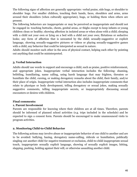The following signs of affection are generally appropriate: verbal praise, side hugs, or shoulder to shoulder hugs. For smaller children, touching their hands, faces, shoulders and arms, arms around their shoulders (when culturally appropriate), hugs, or holding them when others are present.

The following behaviors are inappropriate or may be perceived as inappropriate and should not be engaged in: touching buttocks, chests, genital areas, or thighs except to keep infants or young children clean or healthy; showing affection in isolated areas or when alone with a child; sleeping with a child not your own or lying on a bed with a child not your own; flirtatious or seductive looks; any form of affection that is unwanted by the child; sexually-suggestive or explicit language, showing sexually-suggestive pictures or videos or playing sexually-suggestive games with a child; any behavior that could be interpreted as sexual in nature.

Adults should monitor each other in the area of physical contact, helping each other by pointing out anything that could be misinterpreted.

#### **3. Verbal Interaction**

Adults should use words to support and encourage a child, such as praise, positive reinforcement, and appropriate jokes. Inappropriate verbal interaction includes the following: shaming, belittling, humiliating, name calling, using harsh language that may frighten, threaten or humiliate the child, cursing, or making derogatory remarks about the child, their family, and/or their place of origin. Inappropriate verbal interaction also includes inappropriate comments that relate to physique or body development, telling derogatory or sexual jokes, making sexually suggestive comments, telling inappropriate secrets, or inappropriately discussing sexual encounters or desires with children.

#### **Final comments:**

#### **1. Parent Involvement**

Parents are responsible for knowing where their children are at all times. Therefore, parents should be informed of planned school activities (e.g. trips included in the schedule) and be expected to sign a consent form. Parents should be encouraged to make unannounced visits to program activities.

#### **2. Monitoring Child-to-Child Behavior**

The following actions may involve abuse or inappropriate behavior of one child to another and are to be avoided: bullying, hazing, derogatory name-calling, ridicule or humiliation, publically singling out another child for negative treatment or exclusion, child-to-child inappropriate sexual touch, inappropriate sexually explicit language, showing of sexually explicit images, hitting, slapping, pushing, holding against their will, or otherwise assaulting another child.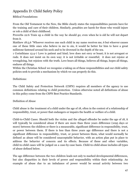# <span id="page-46-0"></span>Appendix D: Child Safety Policy

Biblical Foundations:

From the Old Testament to the New, the Bible clearly states the responsibilities parents have for the training and care of their children. Similarly, penalties are harsh for those who would injure or rob a child of their childhood.

Proverbs 22:6 Train up a child in the way he should go; even when he is old he will not depart from it.

Matthew 18:5,6 "Whoever receives one such child in my name receives me, 6 but whoever causes one of these little ones who believe in me to sin, it would be better for him to have a great millstone fastened around his neck and to be drowned in the depth of the sea.

1 Corinthians 13:4-7 Love is patient and kind; love does not envy or boast; it is not arrogant or rude. It does not insist on its own way; it is not irritable or resentful; it does not rejoice at wrongdoing, but rejoices with the truth. Love bears all things, believes all things, hopes all things, endures all things.

Within the Christian School we recognize a taking on of these responsibilities and our child safety policies seek to provide a mechanism by which we can properly do this.

Definitions:

The Child Safety and Protection Network (CSPN) requires all members of the agency to use common definitions relating to child protection. Unless otherwise noted all definitions of abuse in this policy come from the CSPN Best Practice Standards.

#### Definition of Abuse

Child abuse is the treatment of a child under the age of 18, often in the context of a relationship of responsibility, trust, or power that endangers or impairs the health or welfare of a child.

Child-to-Child Cases: Should both the victim and the alleged offender be under the age of 18, it will typically be considered abuse if there are more than three years difference (1095 days or more) between the children or there is a measurable, significant difference in responsibility, trust, or power between them. If there is less than three years age difference and there is not a significant difference in responsibility, trust, or power between them, what would normally be defined as abuse will be considered unacceptable behavior, with an action plan put in place to address the behavior of concern and its effects. Because of these and other variables, child-to-child cases will be judged on a case-by-case basis. Child-to-child abuse includes all types of abuse defined below.

The age difference between the two children leads not only to marked developmental differences, but also disparities in their levels of power and responsibility within their relationship. An example of abuse due to an imbalance of power would be sexual activity between two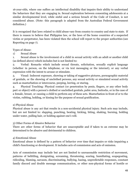16-year-olds, where one suffers an intellectual disability that impairs their ability to understand the behaviors that they are engaging in. Sexual exploration between consenting adolescents at a similar developmental level, while sinful and a serious breach of the Code of Conduct, is not considered abuse. (Note: this paragraph is adapted from the Australian Federal Government definition.)

It is recognized that laws related to child abuse vary from country to country and state to state. If there is reason to believe that Philippine law, or the laws of the home countries of a suspected victim or perpetrator, has been violated then the school will report to the proper authorities (see Reporting on page 7).

Types of Abuse:

1) Sexual Abuse

1. Sexual abuse is the involvement of a child in sexual activity with an adult or another child (as defined above) which includes but is not limited to:

2. Verbal: Remarks which include sexual threats, solicitation, sexually explicit language (whether in person, on the telephone, or via text messaging or the internet), or any verbal expression with the intent to arouse or stimulate.

3. Visual: Indecent exposure, showing or taking of suggestive pictures, pornographic material of genitals, or the showing of unclothed persons, any sexual activity or simulated sexual activity such as masturbation or intercourse, peeping, leering, or staring.

4. Physical Touching: Physical contact (or penetration by penis, fingers, or any other body part or object) with a person's clothed or unclothed genitals, pubic area, buttocks, or in the case of a female, breast, or causing a child to perform any of these acts. Masturbation in front of or to the victim, rubbing, holding, or kissing for the purpose of sexual gratification.

#### 2) Physical Abuse

Physical abuse is any act that results in a non-accidental physical injury. Such acts may include, but are not limited to: slapping, punching, beating, kicking, biting, shaking, burning, holding under water, pulling hair, or holding against one's will.

#### 3) Other Forms of Abusive Behavior

There are other forms of behavior that are unacceptable and if taken to an extreme may be determined to be abusive and detrimental to children.

#### 4) Emotional Abuse

Emotional abuse is defined by a pattern of behavior over time that impairs or risks impairing a child's functioning or development. It includes acts of commission and acts of omission.

Acts of commission may include but are not limited to unreasonable restriction of movement, patterns of belittling, denigrating, screaming, threatening, scaring, humiliating, scapegoating, ridiculing, blaming, sarcasm, discriminating, bullying, hazing, unpredictable responses, constant family discord and double message communication, or other non-physical forms of hostile or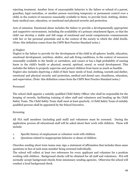rejecting treatment. Another form of unacceptable behavior is the failure or refusal of a parent, guardian, legal custodian, or another person exercising temporary or permanent control over a child, in the context of resources reasonably available to them, to provide food, clothing, shelter, basic medical care, education, or emotional and physical security and protection.

Acts of omission: Emotional abuse includes the failure to provide a developmentally appropriate and supportive environment, including the availability of a primary attachment figure, so that the child can develop a stable and full range of emotional and social competencies commensurate with her or his personal potentials and in the context of the society in which the child dwells. (Note: this definition comes from the CSPN Best Practice Standard notes.)

#### 5) Neglect

Neglect is the failure to provide for the development of the child in all spheres: health, education, emotional development, nutrition, shelter, and safe living conditions, in the context of resources reasonably available to the family or caretakers, and causes or has a high probability of causing harm to the child's health or physical, mental, spiritual, moral, or social development. This includes the failure to properly supervise and protect children from harm as much as feasible. Neglect also includes depriving a child of their basic needs of food, clothing, warmth and shelter, emotional and physical security and protection, medical and dental care, cleanliness, education, and supervision. (Note: this definition comes from the CSPN Best Practice Standard notes.)

#### Personnel

The school shall appoint a suitably qualified Child Safety Officer who shall be responsible for the keeping of records, facilitating training of other staff and volunteers and heading up the Child Safety Team. The Child Safety Team shall meet at least quarterly. A Child Safety Team of suitably qualified persons shall be appointed by the School Executive.

#### Screening

All FIA staff members (including paid staff) and volunteers must be screened. During the application process all educational staff will be asked about their work with children. These will include:

- 1. Specific history of employment or volunteer work with children
- 2. Questions related to inappropriate behavior or abuse of children

Churches sending short term teams may sign a statement of affirmation that includes these same questions in lieu of each team member being screened individually.

The school will collect at least two references for every applicant and volunteer for a position working with children. Background checks will be obtained for all staff and volunteers. FIA will normally accept background checks from missionary sending agencies. Otherwise the school will conduct a local background check.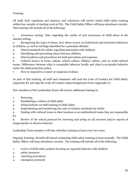Training:

All staff, both expatriate and national, and volunteers will receive initial child safety training within four months of starting work at FIA. The Child Safety Officer will keep attendance records. This training will include all of the following:

1. Awareness raising: Data regarding the reality of and occurrence of child abuse in the mission setting.

2. Recognizing the types of abuse, how abuse occurs, its behavioral and emotional indicators in children, as well as red flags identified for a potential offender.

3. School standards for adults regarding interaction with children.

4. Identifying and preventing abuse between children.

5. School policies and procedures for both prevention and response.

6. Cultural factors in home culture, school culture, Filipino culture, and on multi-cultural teams. Differences between what is acceptable behavior locally and what is acceptable behavior under the child protection policy.

7. How to respond to a report or suspicion of abuse.

As part of this training, all staff and volunteers will read the Code of Conduct for Child Safety (Appendix B), and sign the Code of Conduct Acknowledgement Form (Appendix C).

New members of the Leadership Team will receive additional training in:

- 1. Screening
- 2. Establishing a culture of child safety
- 3. School policies on staff training in child safety
- 4. Implementing and monitoring the code of conduct standards for adults
- 5. Dealing with cultural issues in their location or on multicultural teams they are responsible for

6. Review of the school protocol for receiving and acting on all concerns and/or reports of inappropriate or abusive behavior

Leadership Team members will take refresher training at least every two years.

Ongoing Training: all staff will attend continuing child safety training at least annually. The Child Safety Officer will keep attendance records. The training will include all of the following:

- 1. review of child safety policies focusing on expected behavior with children
- 2. safety measures
- 3. reporting procedures
- 4. emergency protocols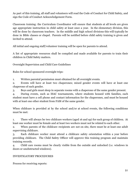As part of this training, all staff and volunteers will read the Code of Conduct for Child Safety, and sign the Code of Conduct Acknowledgement Form.

Classroom training: the Curriculum Coordinator will ensure that students at all levels are given age appropriate instruction in child safety at least once a year. In the elementary division, this will be done by classroom teachers. In the middle and high school divisions this will typically be done in Bible classes or chapel. Parents will be notified before child safety training is given and invited to attend.

All initial and ongoing staff/volunteer training will be open for parents to attend.

A list of appropriate resources shall be compiled and made available for parents to train their children in Child Safety matters.

Overnight Supervision and Child Care Guidelines

Rules for school sponsored overnight trips:

1. Written parental permission must obtained for all overnight events.

2. Events will have at least two chaperones; mixed gender events will have at least one chaperone of each gender.

3. Boys and girls must sleep in separate rooms with a chaperone of the same gender present.

4. During events, such as ISAC tournaments, where students housed with families, each student must have a cell phone and contact information for the chaperones, and must be housed with at least one other student from FAM of the same gender.

When childcare is provided at by the school and/or at school events, the following conditions must be met:

1. There will always be two childcare workers (aged 16 and up) for each group of children. At least one worker must be female and at least two workers must not be related to each other.

2. When parents of the childcare recipients are not on site, there must be at least one adult supervising childcare.

3. Each childcare worker must attend a childcare safety orientation within a year before providing childcare. The Child Safety Officer will approve this training program and maintain training records.

4. Child care rooms must be clearly visible from the outside and unlocked (i.e. windows in doors or unobstructed windows).

#### INVESTIGATORY PROCEDURES

Process for receiving reports: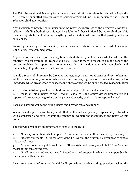The Faith International Academy form for reporting indicators for abuse is included in Appendix A. It can be submitted electronically to child.safety@fia.edu.ph or in person to the Head of School or Child Safety Officer.

Any suspicion of possible child abuse must be reported, regardless of the perceived severity or validity, including both those initiated by adults and those initiated by other children. This includes reports from children and anything that an individual observes that possibly indicates child abuse.

Following the care given to the child, the adult's second duty is to inform the Head of School or Child Safety Officer immediately.

Anyone who receives a report or allegation of child abuse by a child or an adult must treat the reporter with an attitude of "respect and belief." Even if there is reason to doubt a report, the person receiving the report must communicate the information accurately, completely, and immediately. Reports must be made within 24 hours.

A child's report of abuse may be direct or indirect, or you may notice signs of abuse. When any adult in the community has reasonable suspicion, observes, is given a report of child abuse, or has knowledge which gives reason to suspect child abuse or neglect, he or she has two responsibilities:

1. focus on listening well to the child's report and provide care and support, and

2. make an initial report to the Head of School or Child Safety Officer immediately (all reports will be accepted, regardless of the perceived severity or time of the suspected abuse).

Focus on listening well to the child's report and provide care and support

When a child reports abuse to any adult, that adult's first and primary responsibility is to listen with compassion and care, without any attempt to evaluate the credibility of the report at this point.

The following responses are important to convey to the child:

1. "I'm very sorry about what happened." Empathize with what they must be experiencing.

2. "It's not your fault." Children often don't believe you the first time, so you need to convey this several times.

3. "You've done the right thing to tell." "It was right and courageous to tell." "You've done the right thing in sharing this."

4. "I will help you and support you." Extend care and support in whatever ways possible for the victim and their family.

Listen to whatever information the child tells you without asking leading questions, asking the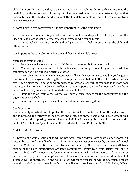child for more details than they are comfortable sharing voluntarily, or trying to evaluate the credibility or the seriousness of the report. The compassion and care demonstrated by the first person to hear the child's report is one of the key determinants of the child recovering from whatever occurred.

At some point in this conversation it is also important to let the child know

1. you cannot handle this yourself, that the school cares deeply for children, and that the Head of School or the Child Safety Officer is the person who can help, and

2. the school will take it seriously and will get the proper help to ensure that the child and others are safe.

It is important that the adult remain calm and focus on the child's needs.

Mistakes to avoid include:

1. Forming conclusions about the truthfulness of the report before reporting it.

2. Minimizing the seriousness of the actions or dismissing it as not significant. What is traumatic varies from one individual to another.

3. Promising not to tell anyone. Often teens will say, "I need to talk to you but you've got to promise not to tell anyone." Making this kind of promise is unhelpful to the child. Instead we can say, "I can't make that kind of blind promise, as whatever is concerning you may take more help than I can give. However, I do want to listen well and support you. And I hope you know that I care about you very much and will do whatever I can to help."

4. Handling it on your own. Abuse, can have a huge impact on the community and the organization as a whole.

5. Don't try to interrogate the child or conduct your own investigation.

# Confidentiality

Confidentiality is critical both to protect the potential victim from further harm through exposure and to preserve the integrity of the process and a "need to know" position will be strictly adhered to throughout the reporting process. Thus the individual receiving the report is to not widen the circle of "need to know" people beyond the Head of School and Child Safety Officer.

#### Initial verification process

All reports of possible child abuse will be reviewed within 7 days. Obviously, some reports will need to be reviewed immediately. At a minimum, reports must be reviewed by the Head of School and the Child Safety Officer and one trained consultant (CSPN trained or equivalent) from outside of the Faith International Academy community. Typically, a child safety team of 3-5 CSPN trained staff members and/or community members will review reports. If the Head of School is recused, the Leadership Team will chose a replacement for the process and the Board of Trustees will be informed. If the Child Safety Officer is recused or will be unavailable for an extended period of time, the child safety team will chose a replacement. The Child Safety Officer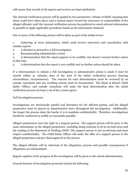will ensure that records of all reports and reviews are kept indefinitely.

The internal verification process will be guided by two parameters: climate of belief, meaning that abuse could have taken place; and a neutral stance toward the innocence or responsibility of the alleged offender until the internal verification process has gathered as much relevant information as possible to apply applicable procedures based on the information obtained.

One or more of the following actions will be taken as part of the initial review:

1. Gathering of more information, which could involve interviews and consultation with outside experts

- 2. A decision to proceed to a full investigation
- 3. Recommending administrative action

4. A determination that the report appears to be credible, but doesn't warrant further action at that time

5. A determination that the report is not credible and no further action should be taken.

If a determination to initiate a full investigation or administrative action is made it must be started within 21 calendar days of the start of the initial verification process (barring extraordinary circumstances). The reasons for each determination must be reviewed by an outside consultant and any resulting actions must be documented. The Head of School, Child Safety Officer, and outside consultant will make the final determination after the initial verification process (at least 2 out of the 3 must agree).

#### Full Investigation process

Investigations are intrinsically painful and disruptive for the affected parties, and the alleged perpetrator must be placed on administrative leave throughout the investigation. Additionally, the longer the process takes the harder it is to maintain confidentiality. Therefore, investigations should be conducted as swiftly as reasonably possible.

Alleged perpetrators have the right to a support person. The support person will be privy to the same information as the alleged perpetrator, including being welcome to sit-in on interviews and the reading of the Statement of Findings (SOF). The support person is not an advocate and must respect confidentiality. The Child Safety Officer will make the offer of a support person to the alleged perpetrator and give final approval on the person.

The alleged offender will be informed of the allegations, process and possible consequences if allegations are substantiated.

Regular updates of the progress of the investigation will be given to the school administration.

General features of investigation protocols include the following: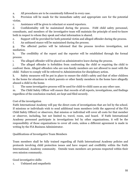a. All procedures are to be consistently followed in every case.

b. Provision will be made for the immediate safety and appropriate care for the potential victim.

c. Assistance will be given to reluctant or scared reporters.

d. Confidentiality will be maintained during the process. FAM child safety personnel, consultants, and members of the investigative team will maintain the principle of need-to-know both in respect to whom they speak and what information is shared.

e. Support will be provided for both potential victim and alleged offender during the process.

f. An unbiased stance will be maintained during the process.

g. The affected parties will be informed that the process involves investigation, not mediation.

h. The credibility of the report and the reporter will be established through the formal process.

i. The alleged offender will be placed on administrative leave during the process.

j. The alleged offender is forbidden from confronting the child or requiring the child to confront them. Alleged offenders who are non-family members are not allowed to meet with the child. Failure to comply will be referred to Administration for disciplinary action.

k. Safety measures will be put in place to ensure the child's safety and that of other children in the home for situations in which parents or other family members in the home have allegedly abused a child in the home.

l. The same investigative process will be used for child-to-child cases as any other case.

m. The Child Safety Officer will ensure that records of all reports, investigations, and findings regardless of the conclusion reached, are kept and filed securely.

#### Cost of the investigation

Faith International Academy will pay the direct costs of investigations that are led by the school. If missions or individuals wish to send additional team members (with the approval of the FIA Child Safety Officer) or observers, that mission or individual will cover all costs for that member or observer, including, but not limited to, travel, room, and board. If Faith International Academy personnel participate in investigations led by other organizations, it will be the responsibility of those organizations to cover all costs, unless a different agreement is made in writing by the FIA Business Administrator.

Qualifications of Investigative Team Members

Team members shall be fully trained regarding all Faith International Academy policies and protocols involving child protection issues and have respect and credibility within the Faith International; Academy community. Outside team members are persons respected within their own mission community.

Good investigative skills:

1. Unbiased and empathetic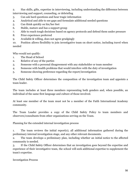2. Has skills, gifts, expertise in interviewing, including understanding the difference between interviewing and support, counseling, or debriefing

- 3. Can ask hard questions and hear tragic information
- 4. Analytical and able to see gaps and formulate additional needed questions
- 5. Can think quickly on his/her feet
- 6. Stable, mature and has a support group
- 7. Able to reach tough decisions based on agency protocols and defend them under pressure
- 8. Prior experience preferred
- 9. Available & willing, does not agree grudgingly

10. Position allows flexibility to join investigative team on short notice, including travel when needed

Who would not qualify:

- 1. The Head of School
- 2. Relative of any of the parties
- 3. Someone with a personal disagreement with any stakeholder or team member
- 4. Someone with health problems that would interfere with the duty of investigation
- 5. Someone showing preference regarding the report/investigation

The Child Safety Officer determines the composition of the investigation team and appoints a team leader.

The team includes at least three members representing both genders and, when possible, an individual of the same first language and culture of those involved.

At least one member of the team must not be a member of the Faith International Academy community.

The Team Leader provides a copy of the Child Safety Policy to team members and observers/consultants from other organizations serving on the Team.

Planning for the extended internal investigation process

1. The team reviews the initial report(s), all additional information gathered during the preliminary internal investigation stage, and any other relevant documents.

2. The team develops a preliminary plan, including whether an initial notice to the affected community is needed.

3. If the Child Safety Officer determines that an investigation goes beyond the expertise and experience of their investigative team, the school will seek additional expertise to supplement the team's expertise.

Investigation Process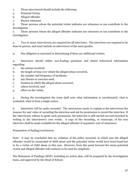- 1. Those interviewed should include the following:
- a. Potential Victim
- b. Alleged offender
- c. Known witnesses

d. Those persons whom the potential victim indicates are witnesses or can contribute to the investigation

e. Those persons whom the alleged offender indicates are witnesses or can contribute to the investigation

2. Two or more interviewers are required for all interviews. The interviews are required to be done in person, and must include an interviewer of the same gender.

3. Due diligence is exercised in determining if there are additional victims.

4. Interviews should utilize non-leading questions and obtain behavioral information regarding:

- a. the actions involved,
- b. the length of time over which the alleged abuse occurred,
- c. the number and frequency of incidents,
- d. any threats or coercion used,
- e. location in which the alleged abuse occurred,
- f. others involved, and
- g. effect on the victim.

5. During the investigation the team shall note what information is corroborated, what is contested, what is from a single source.

6. Interviews will be audio recorded. The interviewer needs to explain to the interviewee the reasons for and value of recording the interview and ask for permission to record the interview. If the interviewee refuses to grant such permission, the interview is still carried out and recorded in writing in the interviewee's own words. A copy of the recording, or transcript, of his own interview shall be made available for the alleged offender if requested. (not of witnesses)

#### Preparation of finding/conclusions

Note: it may be concluded that no violation of the policy occurred, in which case the alleged offender would be exonerated of child abuse and the potential victim would have been found not to be a victim of child abuse in this case. However, from this point forward the terms potential victim and alleged offender will continue to be used for simplicity.

The Statement of Findings (SOF), including an action plan, will be prepared by the investigation team, and approved by the Head of School.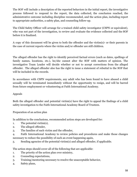The SOF will include a description of the reported behaviors in the initial report, the investigative process followed to respond to the report, the data collected, the conclusion reached, the administrative outcome including discipline recommended, and the action plan, including report to appropriate authorities, a safety plan, and counseling follow-up.

The Child Safety Officer will arrange for a trained child safety investigator (CSPN or equivalent), who was not part of the investigation, to review and evaluate the evidence collected and the SOF before it is finalized.

A copy of this document will be given to both the offender and the victim(s)- or their parents in the case of current reports where the victim and/or offender are still children.

The alleged offender has the right to identify perceived factual errors (such as dates, spellings of family names, locations, etc.), he/she cannot alter the SOF with matters of opinion. The investigative Team Leader will decide whether or not to accept corrections from the alleged offender. The alleged offender also has the right to issue a statement of rebuttal to the SOF that will be included in the records.

In accordance with CSPN requirements, any adult who has been found to have abused a child sexually will be terminated immediately without the opportunity to resign, and will be barred from future employment or volunteering at Faith International Academy.

#### Appeals

Both the alleged offender and potential victim(s) have the right to appeal the findings of a child safety investigation to the Faith International Academy Board of Trustees.

Preparation of an action plan

In addition to the conclusions, recommended action steps are developed for:

- 1. The potential victim(s),
- 2. The alleged offender,
- 3. The families of each victim and the offender,

4. Faith International Academy to review policies and procedures and make those changes necessary to reduce the possibility of such an event happening again,

5. Sending agencies of the potential victim(s) and alleged offender, if applicable.

The action steps should cover all of the following that are applicable:

- 1. The priority of the action plan over ministry,
- 2. Counseling expectations,
- 3. Training/mentoring necessary to resolve the unacceptable behavior,
- 4. Safety plans,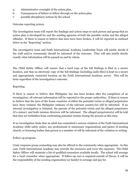- 5. Administrative oversight of the action plan,
- 6. Consequences of failure to follow through on the action plan.
- 7. possible disciplinary actions by the school

Outcome reporting system

The investigation team will report the findings and action steps to each person and group that an action plan is developed for and the sending agencies of both the possible victim and the alleged offender. If there is reason to believe that laws have been broken, it will be reported as outlined below in the "Reporting" section.

The investigative team and Faith International Academy Leadership Team will jointly decide if the staff and/or community should be informed of the outcome. They will also jointly decide exactly what information will be passed on and by whom.

The Child Safety Officer will ensure that a hard copy of the full findings is filed in a secure location, and that an electronic copy of the full findings (including audio files) is kept on a secure and appropriately restricted location on the Faith International Academy server. This will be done regardless of the investigation's outcome.

#### Reporting

If there is reason to believe that Philippine law has been broken after the completion of an investigation, all relevant information will be reported to the proper authorities. If there is reason to believe that the laws of the home countries of either the potential victim or alleged perpetrator have been violated, the Philippine embassy of the relevant country/ies will be informed. If an internal investigation is initiated, the parents of the potential victim and the alleged perpetrator (if a minor), and both mission directors will be informed. The alleged perpetrator(s) will be told that they are forbidden from confronting potential victims during the process at this time.

If an investigation finds that an adult has committed a serious violation of the Faith International Academy child safety policy, any professional or missionary organizations and pastor of sending church, or licensing bodies that person is a member of will be informed of the violation in writing.

#### Follow-up program

Crisis response group counseling may also be offered to the community when appropriate. In this case, Faith International Academy may provide the resources and cover the expenses. The Child Safety Officer will maintain a list of qualified counselors available locally. The school will arrange for a local counselor when appropriate. If follow-up care is required outside of Davao, it will be the responsibility of the sending organization (or family) to arrange and pay for.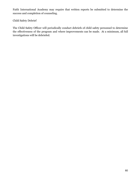Faith International Academy may require that written reports be submitted to determine the success and completion of counseling.

Child Safety Debrief

The Child Safety Officer will periodically conduct debriefs of child safety personnel to determine the effectiveness of the program and where improvements can be made. At a minimum, all full investigations will be debriefed.